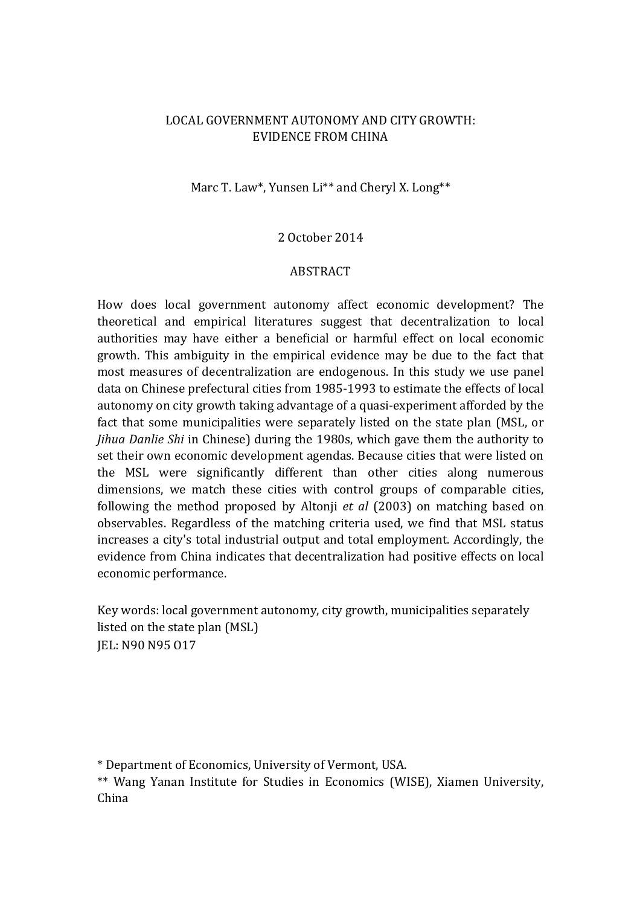# LOCAL GOVERNMENT AUTONOMY AND CITY GROWTH: EVIDENCE FROM CHINA

# Marc T. Law\*, Yunsen Li\*\* and Cheryl X. Long\*\*

#### 2 October 2014

#### ABSTRACT

How does local government autonomy affect economic development? The theoretical and empirical literatures suggest that decentralization to local authorities may have either a beneficial or harmful effect on local economic growth. This ambiguity in the empirical evidence may be due to the fact that most measures of decentralization are endogenous. In this study we use panel data on Chinese prefectural cities from 1985-1993 to estimate the effects of local autonomy on city growth taking advantage of a quasi-experiment afforded by the fact that some municipalities were separately listed on the state plan (MSL, or *Jihua Danlie Shi* in Chinese) during the 1980s, which gave them the authority to set their own economic development agendas. Because cities that were listed on the MSL were significantly different than other cities along numerous dimensions, we match these cities with control groups of comparable cities, following the method proposed by Altonii *et al* (2003) on matching based on observables. Regardless of the matching criteria used, we find that MSL status increases a city's total industrial output and total employment. Accordingly, the evidence from China indicates that decentralization had positive effects on local economic performance.

Key words: local government autonomy, city growth, municipalities separately listed on the state plan (MSL) JEL: N90 N95 O17

\* Department of Economics, University of Vermont, USA.

\*\* Wang Yanan Institute for Studies in Economics (WISE), Xiamen University, China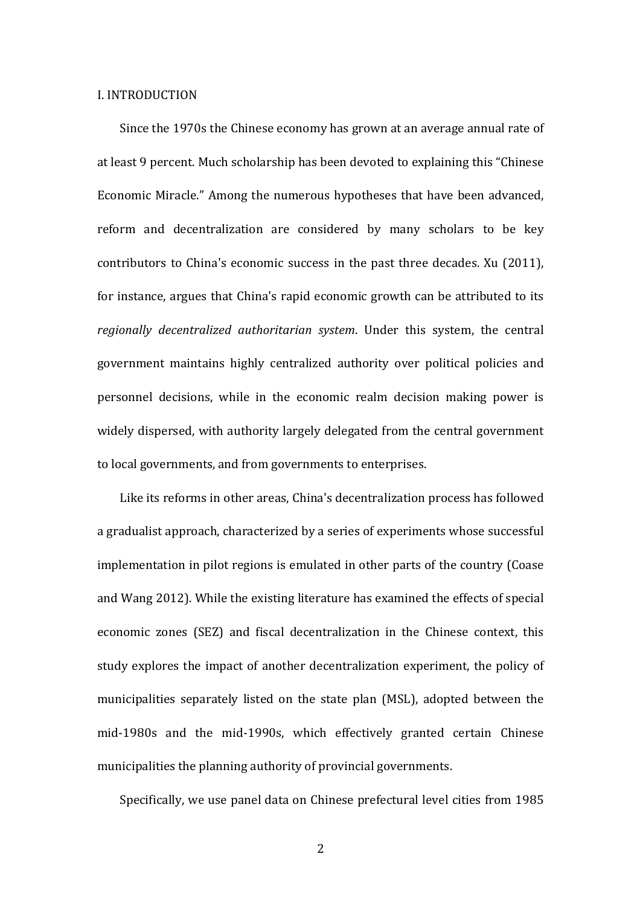#### I. INTRODUCTION

Since the 1970s the Chinese economy has grown at an average annual rate of at least 9 percent. Much scholarship has been devoted to explaining this "Chinese Economic Miracle." Among the numerous hypotheses that have been advanced, reform and decentralization are considered by many scholars to be key contributors to China's economic success in the past three decades. Xu (2011), for instance, argues that China's rapid economic growth can be attributed to its regionally decentralized authoritarian system. Under this system, the central government maintains highly centralized authority over political policies and personnel decisions, while in the economic realm decision making power is widely dispersed, with authority largely delegated from the central government to local governments, and from governments to enterprises.

Like its reforms in other areas, China's decentralization process has followed a gradualist approach, characterized by a series of experiments whose successful implementation in pilot regions is emulated in other parts of the country (Coase and Wang 2012). While the existing literature has examined the effects of special economic zones (SEZ) and fiscal decentralization in the Chinese context, this study explores the impact of another decentralization experiment, the policy of municipalities separately listed on the state plan (MSL), adopted between the mid-1980s and the mid-1990s, which effectively granted certain Chinese municipalities the planning authority of provincial governments.

Specifically, we use panel data on Chinese prefectural level cities from 1985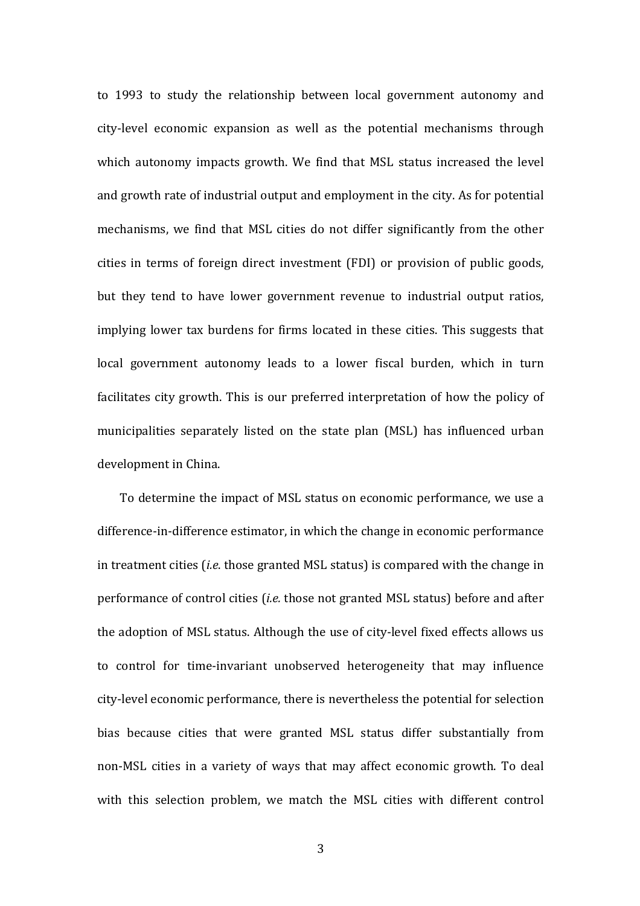to 1993 to study the relationship between local government autonomy and city-level economic expansion as well as the potential mechanisms through which autonomy impacts growth. We find that MSL status increased the level and growth rate of industrial output and employment in the city. As for potential mechanisms, we find that MSL cities do not differ significantly from the other cities in terms of foreign direct investment (FDI) or provision of public goods, but they tend to have lower government revenue to industrial output ratios, implying lower tax burdens for firms located in these cities. This suggests that local government autonomy leads to a lower fiscal burden, which in turn facilitates city growth. This is our preferred interpretation of how the policy of municipalities separately listed on the state plan (MSL) has influenced urban development in China.

To determine the impact of MSL status on economic performance, we use a difference-in-difference estimator, in which the change in economic performance in treatment cities *(i.e.* those granted MSL status) is compared with the change in performance of control cities (*i.e.* those not granted MSL status) before and after the adoption of MSL status. Although the use of city-level fixed effects allows us to control for time-invariant unobserved heterogeneity that may influence city-level economic performance, there is nevertheless the potential for selection bias because cities that were granted MSL status differ substantially from non-MSL cities in a variety of ways that may affect economic growth. To deal with this selection problem, we match the MSL cities with different control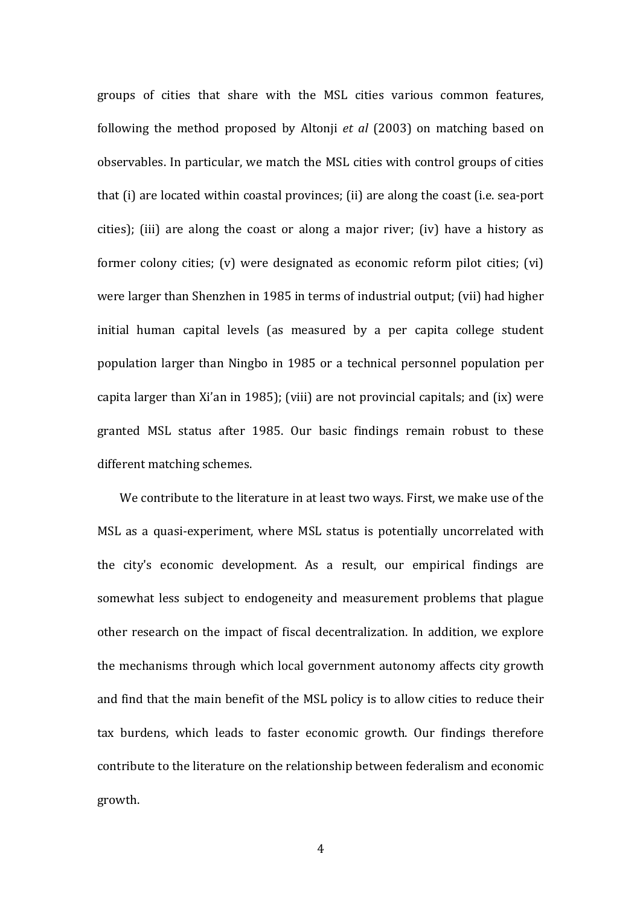groups of cities that share with the MSL cities various common features, following the method proposed by Altonji *et al* (2003) on matching based on observables. In particular, we match the MSL cities with control groups of cities that (i) are located within coastal provinces; (ii) are along the coast (i.e. sea-port cities); (iii) are along the coast or along a major river; (iv) have a history as former colony cities; (v) were designated as economic reform pilot cities; (vi) were larger than Shenzhen in 1985 in terms of industrial output; (vii) had higher initial human capital levels (as measured by a per capita college student population larger than Ningbo in 1985 or a technical personnel population per capita larger than  $Xi'$ an in 1985); (viii) are not provincial capitals; and (ix) were granted MSL status after 1985. Our basic findings remain robust to these different matching schemes.

We contribute to the literature in at least two ways. First, we make use of the MSL as a quasi-experiment, where MSL status is potentially uncorrelated with the city's economic development. As a result, our empirical findings are somewhat less subject to endogeneity and measurement problems that plague other research on the impact of fiscal decentralization. In addition, we explore the mechanisms through which local government autonomy affects city growth and find that the main benefit of the MSL policy is to allow cities to reduce their tax burdens, which leads to faster economic growth. Our findings therefore contribute to the literature on the relationship between federalism and economic growth.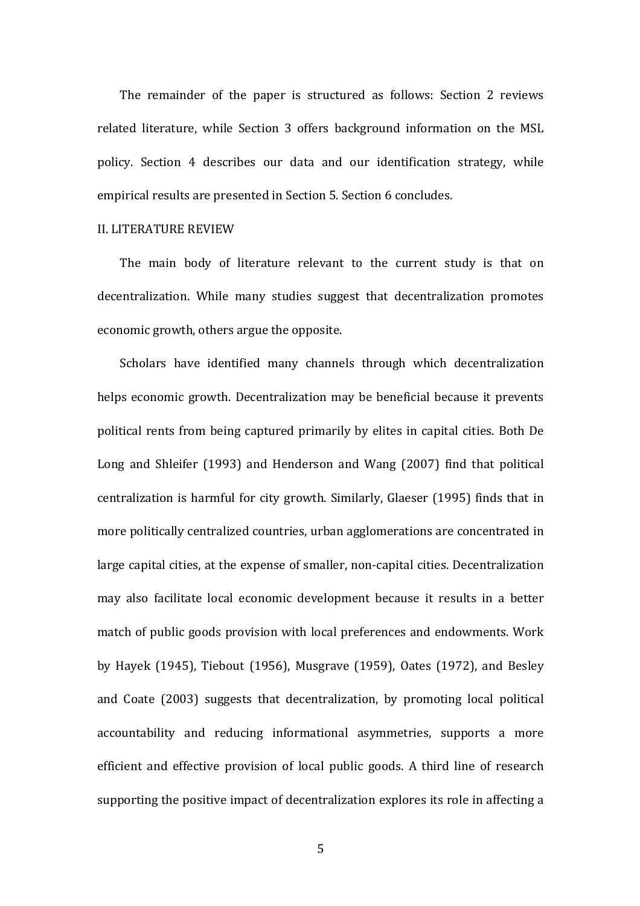The remainder of the paper is structured as follows: Section 2 reviews related literature, while Section 3 offers background information on the MSL policy. Section 4 describes our data and our identification strategy, while empirical results are presented in Section 5. Section 6 concludes.

## **II. LITERATURE REVIEW**

The main body of literature relevant to the current study is that on decentralization. While many studies suggest that decentralization promotes economic growth, others argue the opposite.

Scholars have identified many channels through which decentralization helps economic growth. Decentralization may be beneficial because it prevents political rents from being captured primarily by elites in capital cities. Both De Long and Shleifer (1993) and Henderson and Wang (2007) find that political centralization is harmful for city growth. Similarly, Glaeser (1995) finds that in more politically centralized countries, urban agglomerations are concentrated in large capital cities, at the expense of smaller, non-capital cities. Decentralization may also facilitate local economic development because it results in a better match of public goods provision with local preferences and endowments. Work by Hayek  $(1945)$ , Tiebout  $(1956)$ , Musgrave  $(1959)$ , Oates  $(1972)$ , and Besley and Coate (2003) suggests that decentralization, by promoting local political accountability and reducing informational asymmetries, supports a more efficient and effective provision of local public goods. A third line of research supporting the positive impact of decentralization explores its role in affecting a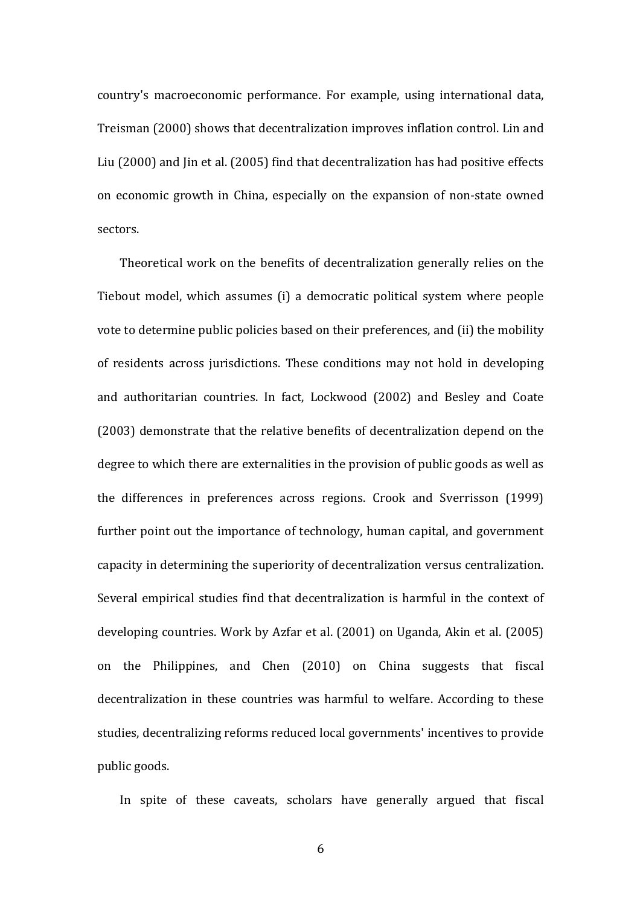country's macroeconomic performance. For example, using international data, Treisman (2000) shows that decentralization improves inflation control. Lin and Liu (2000) and Jin et al. (2005) find that decentralization has had positive effects on economic growth in China, especially on the expansion of non-state owned sectors.

Theoretical work on the benefits of decentralization generally relies on the Tiebout model, which assumes (i) a democratic political system where people vote to determine public policies based on their preferences, and (ii) the mobility of residents across jurisdictions. These conditions may not hold in developing and authoritarian countries. In fact, Lockwood (2002) and Besley and Coate (2003) demonstrate that the relative benefits of decentralization depend on the degree to which there are externalities in the provision of public goods as well as the differences in preferences across regions. Crook and Sverrisson (1999) further point out the importance of technology, human capital, and government capacity in determining the superiority of decentralization versus centralization. Several empirical studies find that decentralization is harmful in the context of developing countries. Work by Azfar et al. (2001) on Uganda, Akin et al. (2005) on the Philippines, and Chen (2010) on China suggests that fiscal decentralization in these countries was harmful to welfare. According to these studies, decentralizing reforms reduced local governments' incentives to provide public goods.

In spite of these caveats, scholars have generally argued that fiscal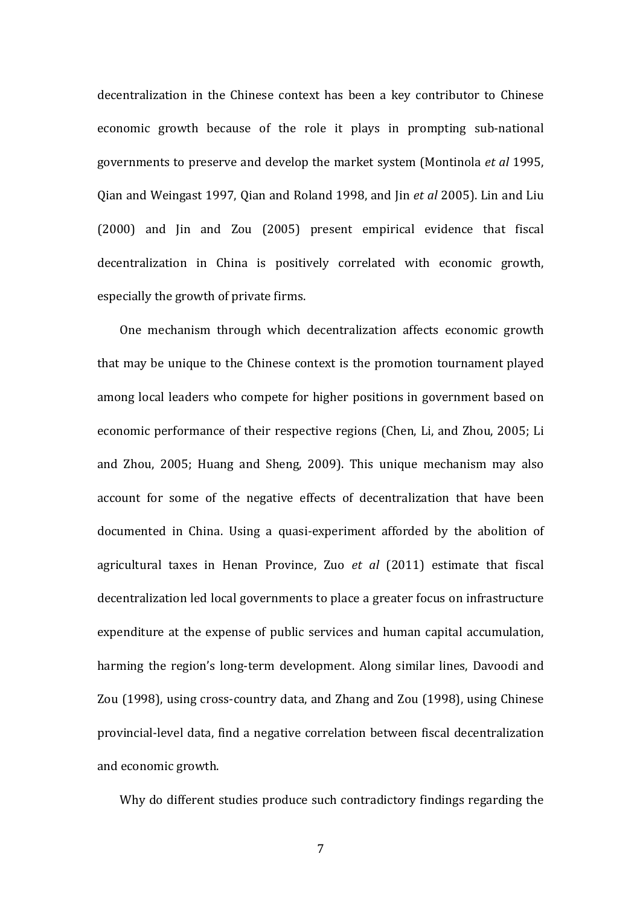decentralization in the Chinese context has been a key contributor to Chinese economic growth because of the role it plays in prompting sub-national governments to preserve and develop the market system (Montinola *et al* 1995, Qian and Weingast 1997, Qian and Roland 1998, and Jin *et al* 2005). Lin and Liu (2000) and Jin and Zou (2005) present empirical evidence that fiscal decentralization in China is positively correlated with economic growth, especially the growth of private firms.

One mechanism through which decentralization affects economic growth that may be unique to the Chinese context is the promotion tournament played among local leaders who compete for higher positions in government based on economic performance of their respective regions (Chen, Li, and Zhou, 2005; Li and Zhou, 2005; Huang and Sheng, 2009). This unique mechanism may also account for some of the negative effects of decentralization that have been documented in China. Using a quasi-experiment afforded by the abolition of agricultural taxes in Henan Province, Zuo et al (2011) estimate that fiscal decentralization led local governments to place a greater focus on infrastructure expenditure at the expense of public services and human capital accumulation, harming the region's long-term development. Along similar lines, Davoodi and Zou (1998), using cross-country data, and Zhang and Zou (1998), using Chinese provincial-level data, find a negative correlation between fiscal decentralization and economic growth.

Why do different studies produce such contradictory findings regarding the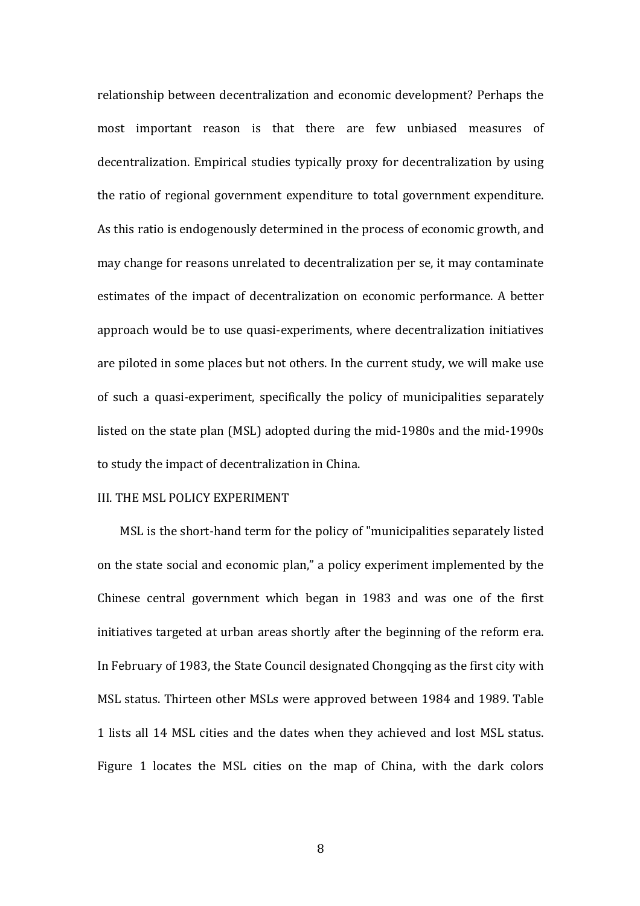relationship between decentralization and economic development? Perhaps the most important reason is that there are few unbiased measures of decentralization. Empirical studies typically proxy for decentralization by using the ratio of regional government expenditure to total government expenditure. As this ratio is endogenously determined in the process of economic growth, and may change for reasons unrelated to decentralization per se, it may contaminate estimates of the impact of decentralization on economic performance. A better approach would be to use quasi-experiments, where decentralization initiatives are piloted in some places but not others. In the current study, we will make use of such a quasi-experiment, specifically the policy of municipalities separately listed on the state plan (MSL) adopted during the mid-1980s and the mid-1990s to study the impact of decentralization in China.

#### III. THE MSL POLICY EXPERIMENT

MSL is the short-hand term for the policy of "municipalities separately listed on the state social and economic plan," a policy experiment implemented by the Chinese central government which began in 1983 and was one of the first initiatives targeted at urban areas shortly after the beginning of the reform era. In February of 1983, the State Council designated Chongqing as the first city with MSL status. Thirteen other MSLs were approved between 1984 and 1989. Table 1 lists all 14 MSL cities and the dates when they achieved and lost MSL status. Figure 1 locates the MSL cities on the map of China, with the dark colors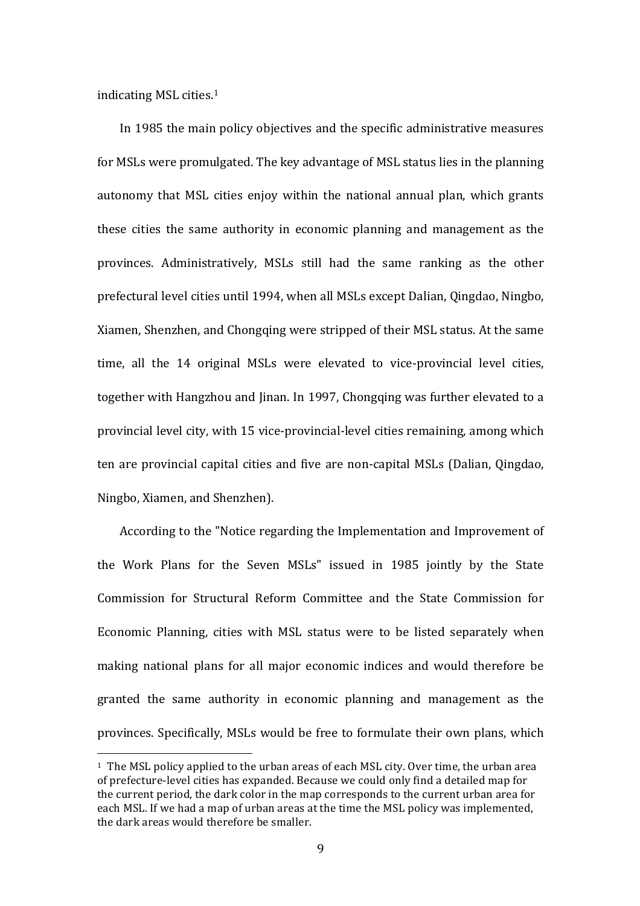indicating MSL cities.<sup>1</sup>

 

In 1985 the main policy objectives and the specific administrative measures for MSLs were promulgated. The key advantage of MSL status lies in the planning autonomy that MSL cities enjoy within the national annual plan, which grants these cities the same authority in economic planning and management as the provinces. Administratively, MSLs still had the same ranking as the other prefectural level cities until 1994, when all MSLs except Dalian, Qingdao, Ningbo, Xiamen, Shenzhen, and Chongqing were stripped of their MSL status. At the same time, all the 14 original MSLs were elevated to vice-provincial level cities, together with Hangzhou and Jinan. In 1997, Chongqing was further elevated to a provincial level city, with 15 vice-provincial-level cities remaining, among which ten are provincial capital cities and five are non-capital MSLs (Dalian, Qingdao, Ningbo, Xiamen, and Shenzhen).

According to the "Notice regarding the Implementation and Improvement of the Work Plans for the Seven MSLs" issued in 1985 jointly by the State Commission for Structural Reform Committee and the State Commission for Economic Planning, cities with MSL status were to be listed separately when making national plans for all major economic indices and would therefore be granted the same authority in economic planning and management as the provinces. Specifically, MSLs would be free to formulate their own plans, which

 $1$  The MSL policy applied to the urban areas of each MSL city. Over time, the urban area of prefecture-level cities has expanded. Because we could only find a detailed map for the current period, the dark color in the map corresponds to the current urban area for each MSL. If we had a map of urban areas at the time the MSL policy was implemented. the dark areas would therefore be smaller.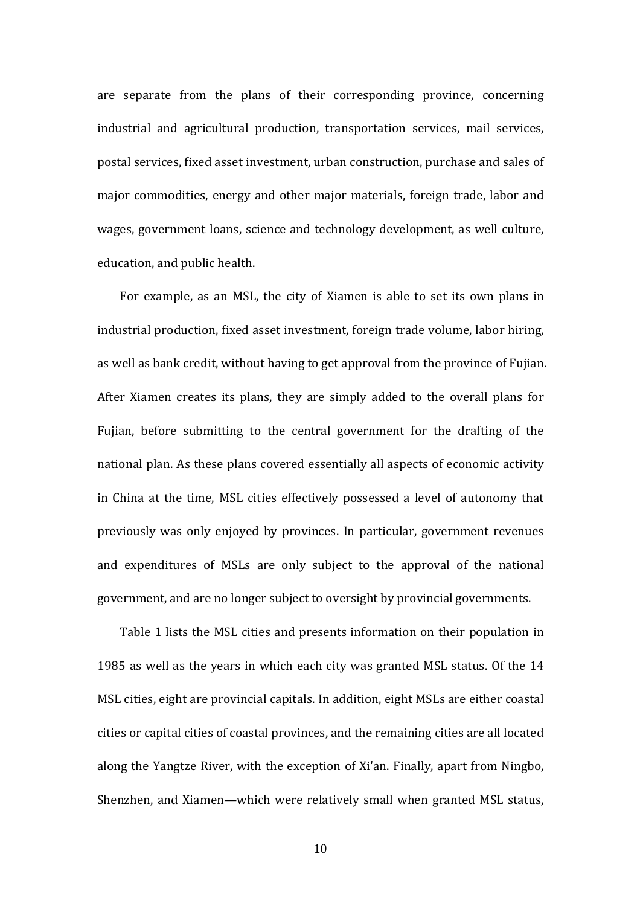are separate from the plans of their corresponding province, concerning industrial and agricultural production, transportation services, mail services, postal services, fixed asset investment, urban construction, purchase and sales of major commodities, energy and other major materials, foreign trade, labor and wages, government loans, science and technology development, as well culture, education, and public health.

For example, as an MSL, the city of Xiamen is able to set its own plans in industrial production, fixed asset investment, foreign trade volume, labor hiring, as well as bank credit, without having to get approval from the province of Fujian. After Xiamen creates its plans, they are simply added to the overall plans for Fujian, before submitting to the central government for the drafting of the national plan. As these plans covered essentially all aspects of economic activity in China at the time, MSL cities effectively possessed a level of autonomy that previously was only enjoyed by provinces. In particular, government revenues and expenditures of MSLs are only subject to the approval of the national government, and are no longer subject to oversight by provincial governments.

Table 1 lists the MSL cities and presents information on their population in 1985 as well as the years in which each city was granted MSL status. Of the 14 MSL cities, eight are provincial capitals. In addition, eight MSLs are either coastal cities or capital cities of coastal provinces, and the remaining cities are all located along the Yangtze River, with the exception of Xi'an. Finally, apart from Ningbo, Shenzhen, and Xiamen—which were relatively small when granted MSL status,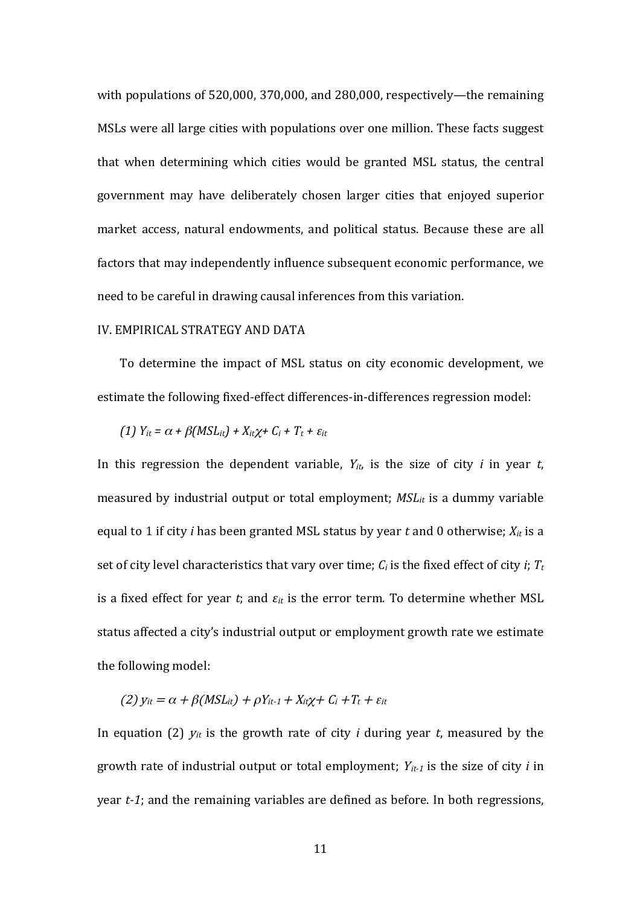with populations of  $520,000$ ,  $370,000$ , and  $280,000$ , respectively—the remaining MSLs were all large cities with populations over one million. These facts suggest that when determining which cities would be granted MSL status, the central government may have deliberately chosen larger cities that enjoyed superior market access, natural endowments, and political status. Because these are all factors that may independently influence subsequent economic performance, we need to be careful in drawing causal inferences from this variation.

#### IV. EMPIRICAL STRATEGY AND DATA

To determine the impact of MSL status on city economic development, we estimate the following fixed-effect differences-in-differences regression model:

(1) 
$$
Y_{it} = \alpha + \beta(MSL_{it}) + X_{it}\chi + C_i + T_t + \varepsilon_{it}
$$

In this regression the dependent variable,  $Y_{it}$ , is the size of city *i* in year *t*, measured by industrial output or total employment; *MSL<sub>it</sub>* is a dummy variable equal to 1 if city *i* has been granted MSL status by year *t* and 0 otherwise;  $X_{it}$  is a set of city level characteristics that vary over time;  $C_i$  is the fixed effect of city *i*;  $T_t$ is a fixed effect for year *t*; and  $\varepsilon_{it}$  is the error term. To determine whether MSL status affected a city's industrial output or employment growth rate we estimate the following model:

$$
(2) y_{it} = \alpha + \beta(MSL_{it}) + \rho Y_{it-1} + X_{it}\chi + C_i + T_t + \varepsilon_{it}
$$

In equation (2)  $y_{it}$  is the growth rate of city *i* during year *t*, measured by the growth rate of industrial output or total employment;  $Y_{it-1}$  is the size of city *i* in year *t-1*; and the remaining variables are defined as before. In both regressions,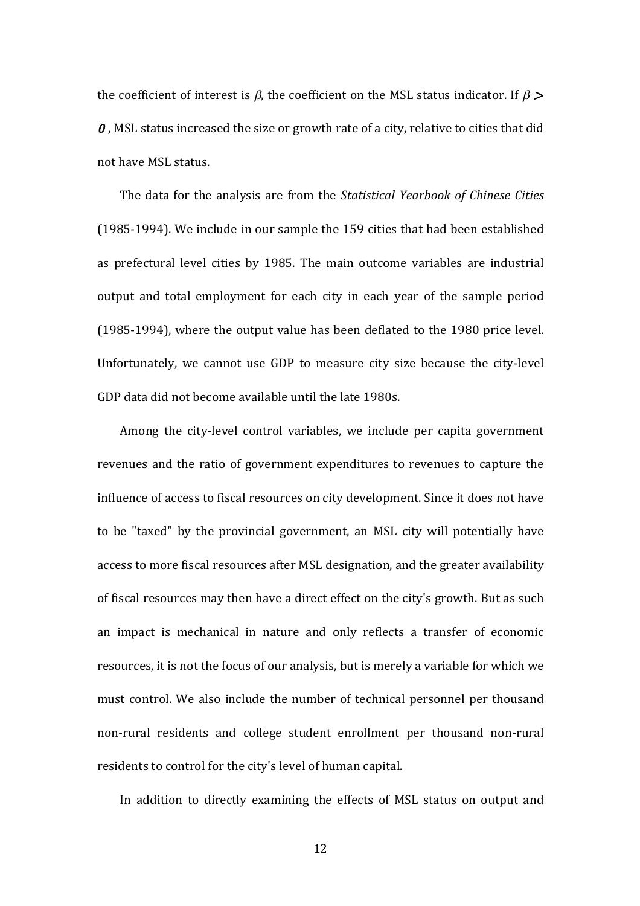the coefficient of interest is  $\beta$ , the coefficient on the MSL status indicator. If  $\beta$  >  $\theta$ , MSL status increased the size or growth rate of a city, relative to cities that did not have MSL status.

The data for the analysis are from the *Statistical Yearbook of Chinese Cities* (1985-1994). We include in our sample the 159 cities that had been established as prefectural level cities by 1985. The main outcome variables are industrial output and total employment for each city in each year of the sample period (1985-1994), where the output value has been deflated to the 1980 price level. Unfortunately, we cannot use GDP to measure city size because the city-level GDP data did not become available until the late 1980s.

Among the city-level control variables, we include per capita government revenues and the ratio of government expenditures to revenues to capture the influence of access to fiscal resources on city development. Since it does not have to be "taxed" by the provincial government, an MSL city will potentially have access to more fiscal resources after MSL designation, and the greater availability of fiscal resources may then have a direct effect on the city's growth. But as such an impact is mechanical in nature and only reflects a transfer of economic resources, it is not the focus of our analysis, but is merely a variable for which we must control. We also include the number of technical personnel per thousand non-rural residents and college student enrollment per thousand non-rural residents to control for the city's level of human capital.

In addition to directly examining the effects of MSL status on output and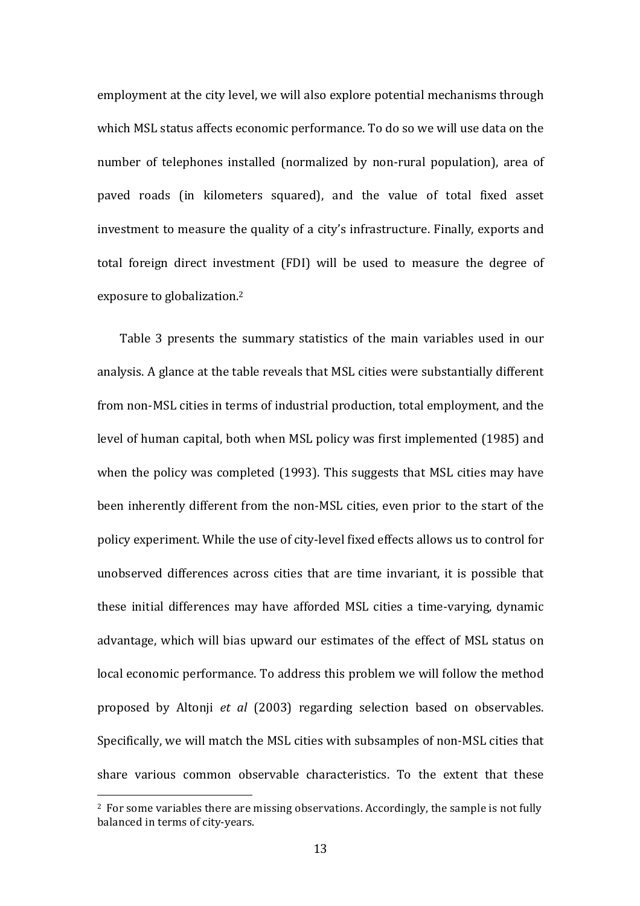employment at the city level, we will also explore potential mechanisms through which MSL status affects economic performance. To do so we will use data on the number of telephones installed (normalized by non-rural population), area of paved roads (in kilometers squared), and the value of total fixed asset investment to measure the quality of a city's infrastructure. Finally, exports and total foreign direct investment (FDI) will be used to measure the degree of exposure to globalization.<sup>2</sup>

Table 3 presents the summary statistics of the main variables used in our analysis. A glance at the table reveals that MSL cities were substantially different from non-MSL cities in terms of industrial production, total employment, and the level of human capital, both when MSL policy was first implemented (1985) and when the policy was completed (1993). This suggests that MSL cities may have been inherently different from the non-MSL cities, even prior to the start of the policy experiment. While the use of city-level fixed effects allows us to control for unobserved differences across cities that are time invariant, it is possible that these initial differences may have afforded MSL cities a time-varying, dynamic advantage, which will bias upward our estimates of the effect of MSL status on local economic performance. To address this problem we will follow the method proposed by Altonji et al (2003) regarding selection based on observables. Specifically, we will match the MSL cities with subsamples of non-MSL cities that share various common observable characteristics. To the extent that these

<u> 1989 - Johann Stein, marwolaethau a bh</u>

 $2$  For some variables there are missing observations. Accordingly, the sample is not fully balanced in terms of city-years.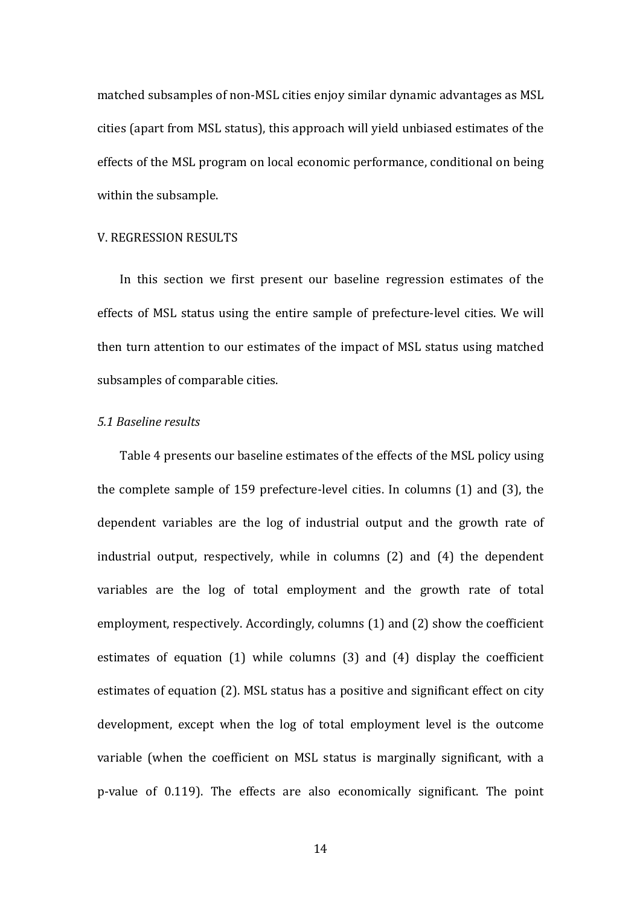matched subsamples of non-MSL cities enjoy similar dynamic advantages as MSL cities (apart from MSL status), this approach will yield unbiased estimates of the effects of the MSL program on local economic performance, conditional on being within the subsample.

#### V. REGRESSION RESULTS

In this section we first present our baseline regression estimates of the effects of MSL status using the entire sample of prefecture-level cities. We will then turn attention to our estimates of the impact of MSL status using matched subsamples of comparable cities.

# *5.1 Baseline results*

Table 4 presents our baseline estimates of the effects of the MSL policy using the complete sample of 159 prefecture-level cities. In columns  $(1)$  and  $(3)$ , the dependent variables are the log of industrial output and the growth rate of industrial output, respectively, while in columns  $(2)$  and  $(4)$  the dependent variables are the log of total employment and the growth rate of total employment, respectively. Accordingly, columns (1) and (2) show the coefficient estimates of equation  $(1)$  while columns  $(3)$  and  $(4)$  display the coefficient estimates of equation (2). MSL status has a positive and significant effect on city development, except when the log of total employment level is the outcome variable (when the coefficient on MSL status is marginally significant, with a p-value of 0.119). The effects are also economically significant. The point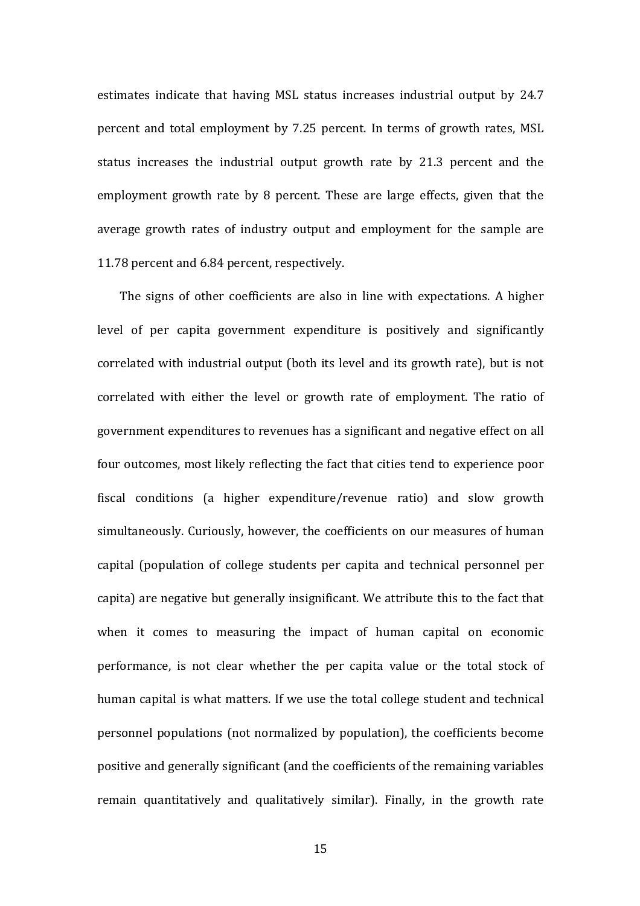estimates indicate that having MSL status increases industrial output by 24.7 percent and total employment by 7.25 percent. In terms of growth rates, MSL status increases the industrial output growth rate by 21.3 percent and the employment growth rate by 8 percent. These are large effects, given that the average growth rates of industry output and employment for the sample are 11.78 percent and 6.84 percent, respectively.

The signs of other coefficients are also in line with expectations. A higher level of per capita government expenditure is positively and significantly correlated with industrial output (both its level and its growth rate), but is not correlated with either the level or growth rate of employment. The ratio of government expenditures to revenues has a significant and negative effect on all four outcomes, most likely reflecting the fact that cities tend to experience poor fiscal conditions (a higher expenditure/revenue ratio) and slow growth simultaneously. Curiously, however, the coefficients on our measures of human capital (population of college students per capita and technical personnel per capita) are negative but generally insignificant. We attribute this to the fact that when it comes to measuring the impact of human capital on economic performance, is not clear whether the per capita value or the total stock of human capital is what matters. If we use the total college student and technical personnel populations (not normalized by population), the coefficients become positive and generally significant (and the coefficients of the remaining variables remain quantitatively and qualitatively similar). Finally, in the growth rate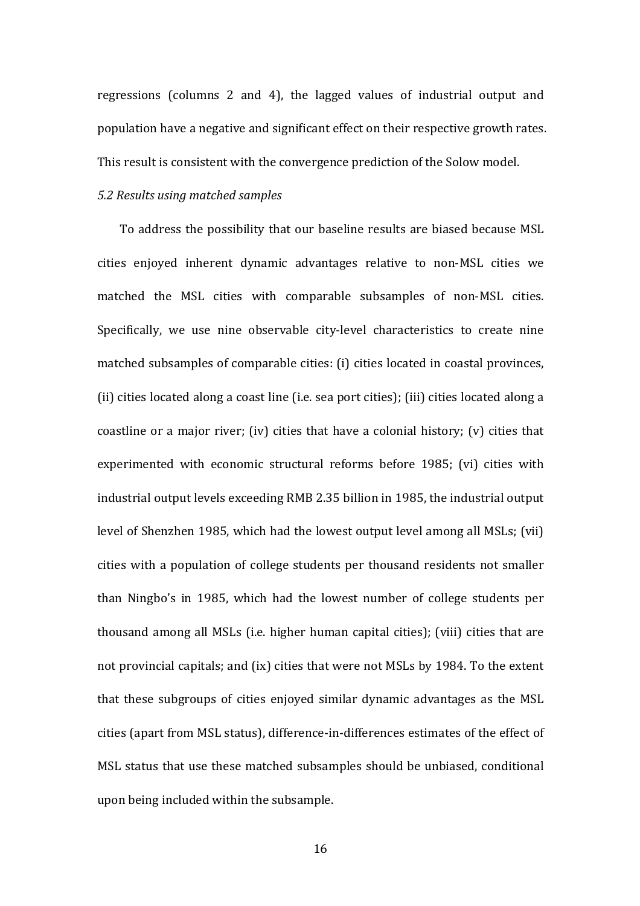regressions (columns 2 and 4), the lagged values of industrial output and population have a negative and significant effect on their respective growth rates. This result is consistent with the convergence prediction of the Solow model.

## *5.2 Results using matched samples*

To address the possibility that our baseline results are biased because MSL cities enjoyed inherent dynamic advantages relative to non-MSL cities we matched the MSL cities with comparable subsamples of non-MSL cities. Specifically, we use nine observable city-level characteristics to create nine matched subsamples of comparable cities: (i) cities located in coastal provinces, (ii) cities located along a coast line (i.e. sea port cities); (iii) cities located along a coastline or a major river; (iv) cities that have a colonial history; (v) cities that experimented with economic structural reforms before 1985; (vi) cities with industrial output levels exceeding RMB 2.35 billion in 1985, the industrial output level of Shenzhen 1985, which had the lowest output level among all MSLs; (vii) cities with a population of college students per thousand residents not smaller than Ningbo's in 1985, which had the lowest number of college students per thousand among all MSLs (i.e. higher human capital cities); (viii) cities that are not provincial capitals; and (ix) cities that were not MSLs by 1984. To the extent that these subgroups of cities enjoyed similar dynamic advantages as the MSL cities (apart from MSL status), difference-in-differences estimates of the effect of MSL status that use these matched subsamples should be unbiased, conditional upon being included within the subsample.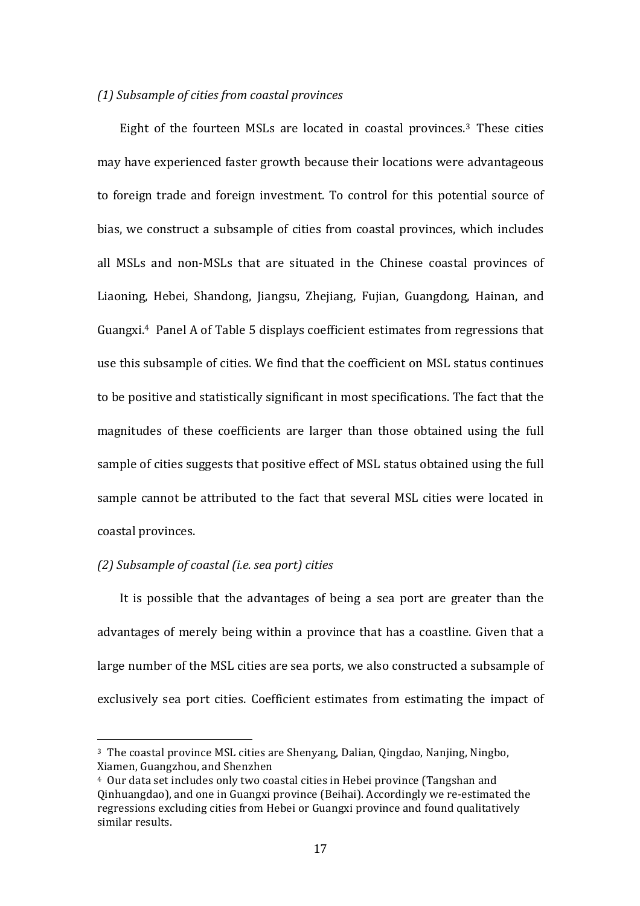#### *(1) Subsample of cities from coastal provinces*

Eight of the fourteen MSLs are located in coastal provinces.<sup>3</sup> These cities may have experienced faster growth because their locations were advantageous to foreign trade and foreign investment. To control for this potential source of bias, we construct a subsample of cities from coastal provinces, which includes all MSLs and non-MSLs that are situated in the Chinese coastal provinces of Liaoning, Hebei, Shandong, Jiangsu, Zhejiang, Fujian, Guangdong, Hainan, and Guangxi.<sup>4</sup> Panel A of Table 5 displays coefficient estimates from regressions that use this subsample of cities. We find that the coefficient on MSL status continues to be positive and statistically significant in most specifications. The fact that the magnitudes of these coefficients are larger than those obtained using the full sample of cities suggests that positive effect of MSL status obtained using the full sample cannot be attributed to the fact that several MSL cities were located in coastal provinces.

## *(2) Subsample of coastal (i.e. sea port) cities*

 

It is possible that the advantages of being a sea port are greater than the advantages of merely being within a province that has a coastline. Given that a large number of the MSL cities are sea ports, we also constructed a subsample of exclusively sea port cities. Coefficient estimates from estimating the impact of

 $3$  The coastal province MSL cities are Shenyang, Dalian, Oingdao, Nanjing, Ningbo, Xiamen, Guangzhou, and Shenzhen

<sup>&</sup>lt;sup>4</sup> Our data set includes only two coastal cities in Hebei province (Tangshan and Oinhuangdao), and one in Guangxi province (Beihai). Accordingly we re-estimated the regressions excluding cities from Hebei or Guangxi province and found qualitatively similar results.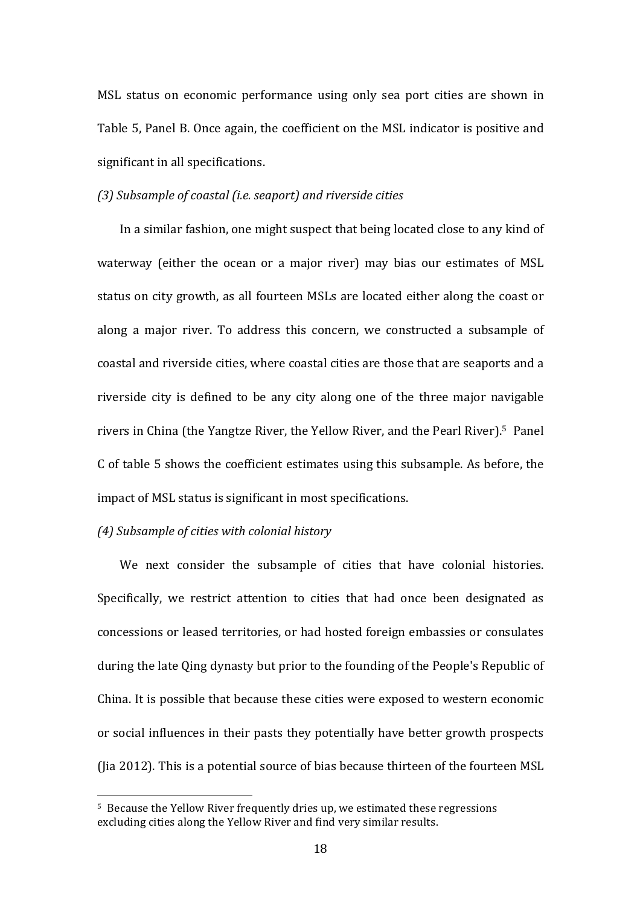MSL status on economic performance using only sea port cities are shown in Table 5, Panel B. Once again, the coefficient on the MSL indicator is positive and significant in all specifications.

## *(3) Subsample of coastal (i.e. seaport) and riverside cities*

In a similar fashion, one might suspect that being located close to any kind of waterway (either the ocean or a major river) may bias our estimates of MSL status on city growth, as all fourteen MSLs are located either along the coast or along a major river. To address this concern, we constructed a subsample of coastal and riverside cities, where coastal cities are those that are seaports and a riverside city is defined to be any city along one of the three major navigable rivers in China (the Yangtze River, the Yellow River, and the Pearl River).<sup>5</sup> Panel C of table 5 shows the coefficient estimates using this subsample. As before, the impact of MSL status is significant in most specifications.

#### *(4) Subsample of cities with colonial history*

<u> 1989 - Johann Stein, marwolaethau a bh</u>

We next consider the subsample of cities that have colonial histories. Specifically, we restrict attention to cities that had once been designated as concessions or leased territories, or had hosted foreign embassies or consulates during the late Oing dynasty but prior to the founding of the People's Republic of China. It is possible that because these cities were exposed to western economic or social influences in their pasts they potentially have better growth prospects (Jia 2012). This is a potential source of bias because thirteen of the fourteen  $MSL$ 

<sup>&</sup>lt;sup>5</sup> Because the Yellow River frequently dries up, we estimated these regressions excluding cities along the Yellow River and find very similar results.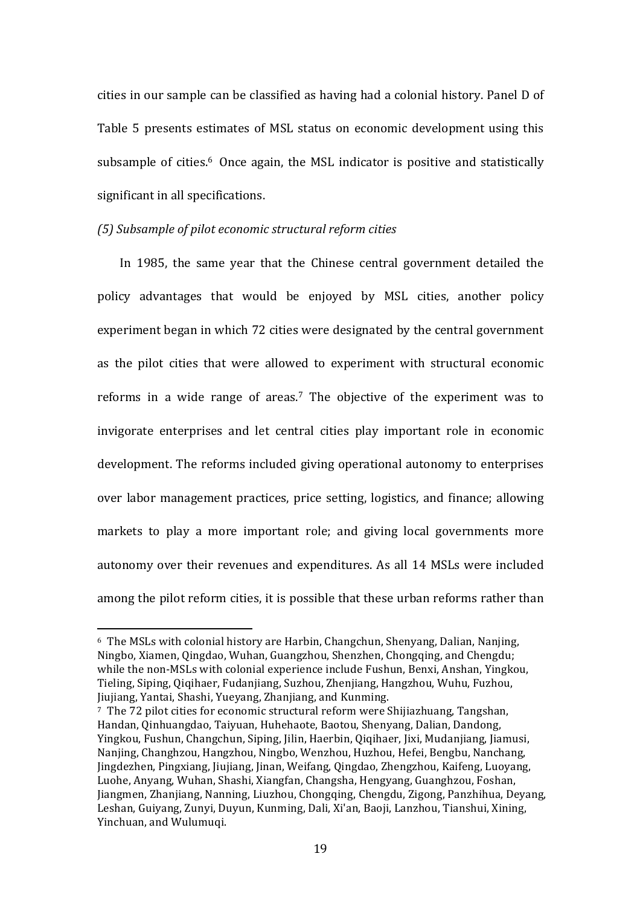cities in our sample can be classified as having had a colonial history. Panel D of Table 5 presents estimates of MSL status on economic development using this subsample of cities.<sup>6</sup> Once again, the MSL indicator is positive and statistically significant in all specifications.

#### *(5) Subsample of pilot economic structural reform cities*

In 1985, the same year that the Chinese central government detailed the policy advantages that would be enjoyed by MSL cities, another policy experiment began in which 72 cities were designated by the central government as the pilot cities that were allowed to experiment with structural economic reforms in a wide range of areas.<sup>7</sup> The objective of the experiment was to invigorate enterprises and let central cities play important role in economic development. The reforms included giving operational autonomy to enterprises over labor management practices, price setting, logistics, and finance; allowing markets to play a more important role; and giving local governments more autonomy over their revenues and expenditures. As all 14 MSLs were included among the pilot reform cities, it is possible that these urban reforms rather than

<u> 1989 - Johann Stein, marwolaethau a bh</u>

 $6$  The MSLs with colonial history are Harbin, Changchun, Shenyang, Dalian, Nanjing, Ningbo, Xiamen, Qingdao, Wuhan, Guangzhou, Shenzhen, Chongqing, and Chengdu; while the non-MSLs with colonial experience include Fushun, Benxi, Anshan, Yingkou, Tieling, Siping, Qiqihaer, Fudanjiang, Suzhou, Zhenjiang, Hangzhou, Wuhu, Fuzhou, Jiujiang, Yantai, Shashi, Yueyang, Zhanjiang, and Kunming.

<sup>&</sup>lt;sup>7</sup> The 72 pilot cities for economic structural reform were Shijiazhuang, Tangshan, Handan, Qinhuangdao, Taiyuan, Huhehaote, Baotou, Shenyang, Dalian, Dandong, Yingkou, Fushun, Changchun, Siping, Jilin, Haerbin, Qiqihaer, Jixi, Mudanjiang, Jiamusi, Nanjing, Changhzou, Hangzhou, Ningbo, Wenzhou, Huzhou, Hefei, Bengbu, Nanchang, Jingdezhen, Pingxiang, Jiujiang, Jinan, Weifang, Qingdao, Zhengzhou, Kaifeng, Luoyang, Luohe, Anyang, Wuhan, Shashi, Xiangfan, Changsha, Hengyang, Guanghzou, Foshan, Jiangmen, Zhanjiang, Nanning, Liuzhou, Chongqing, Chengdu, Zigong, Panzhihua, Deyang, Leshan, Guiyang, Zunyi, Duyun, Kunming, Dali, Xi'an, Baoji, Lanzhou, Tianshui, Xining, Yinchuan, and Wulumuqi.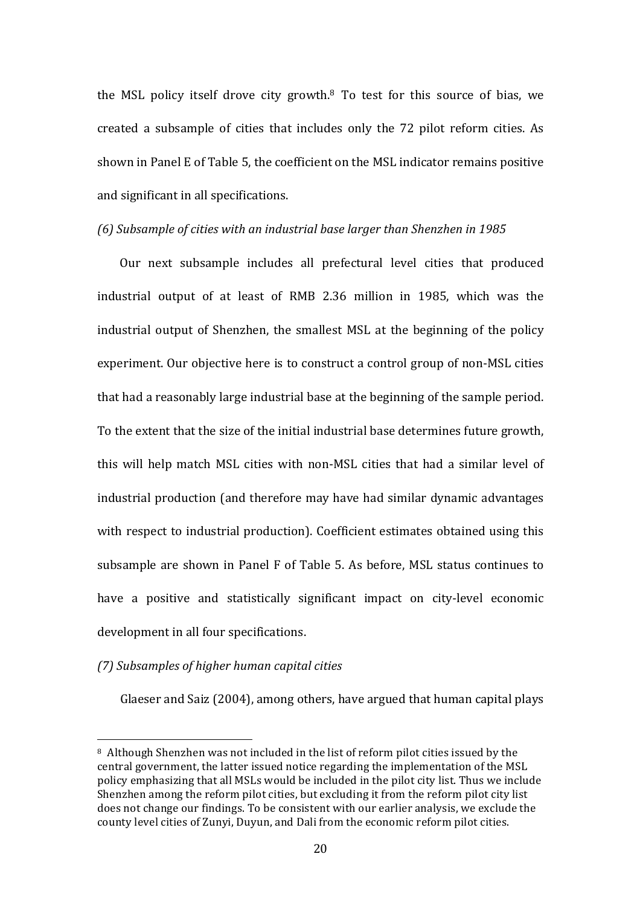the MSL policy itself drove city growth.<sup>8</sup> To test for this source of bias, we created a subsample of cities that includes only the 72 pilot reform cities. As shown in Panel E of Table 5, the coefficient on the MSL indicator remains positive and significant in all specifications.

#### *(6) Subsample of cities with an industrial base larger than Shenzhen in 1985*

Our next subsample includes all prefectural level cities that produced industrial output of at least of RMB 2.36 million in 1985, which was the industrial output of Shenzhen, the smallest MSL at the beginning of the policy experiment. Our objective here is to construct a control group of non-MSL cities that had a reasonably large industrial base at the beginning of the sample period. To the extent that the size of the initial industrial base determines future growth, this will help match MSL cities with non-MSL cities that had a similar level of industrial production (and therefore may have had similar dynamic advantages with respect to industrial production). Coefficient estimates obtained using this subsample are shown in Panel F of Table 5. As before, MSL status continues to have a positive and statistically significant impact on city-level economic development in all four specifications.

# *(7) Subsamples of higher human capital cities*

 

Glaeser and Saiz (2004), among others, have argued that human capital plays

<sup>&</sup>lt;sup>8</sup> Although Shenzhen was not included in the list of reform pilot cities issued by the central government, the latter issued notice regarding the implementation of the MSL policy emphasizing that all MSLs would be included in the pilot city list. Thus we include Shenzhen among the reform pilot cities, but excluding it from the reform pilot city list does not change our findings. To be consistent with our earlier analysis, we exclude the county level cities of Zunyi, Duyun, and Dali from the economic reform pilot cities.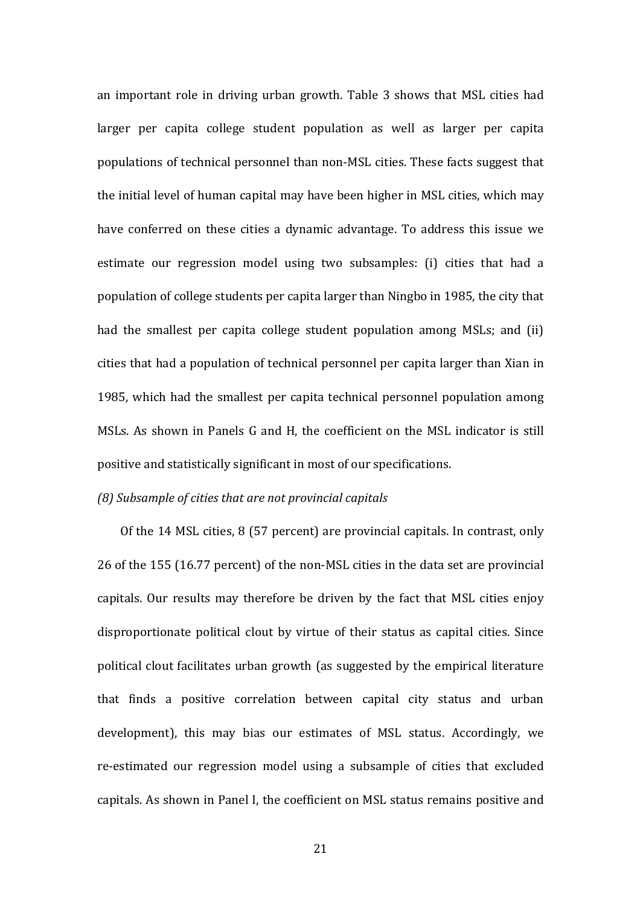an important role in driving urban growth. Table 3 shows that MSL cities had larger per capita college student population as well as larger per capita populations of technical personnel than non-MSL cities. These facts suggest that the initial level of human capital may have been higher in MSL cities, which may have conferred on these cities a dynamic advantage. To address this issue we estimate our regression model using two subsamples: (i) cities that had a population of college students per capita larger than Ningbo in 1985, the city that had the smallest per capita college student population among MSLs; and (ii) cities that had a population of technical personnel per capita larger than Xian in 1985, which had the smallest per capita technical personnel population among MSLs. As shown in Panels G and H, the coefficient on the MSL indicator is still positive and statistically significant in most of our specifications.

#### *(8)* Subsample of cities that are not provincial capitals

Of the 14 MSL cities,  $8(57$  percent) are provincial capitals. In contrast, only 26 of the 155 (16.77 percent) of the non-MSL cities in the data set are provincial capitals. Our results may therefore be driven by the fact that MSL cities enjoy disproportionate political clout by virtue of their status as capital cities. Since political clout facilitates urban growth (as suggested by the empirical literature that finds a positive correlation between capital city status and urban development), this may bias our estimates of MSL status. Accordingly, we re-estimated our regression model using a subsample of cities that excluded capitals. As shown in Panel I, the coefficient on MSL status remains positive and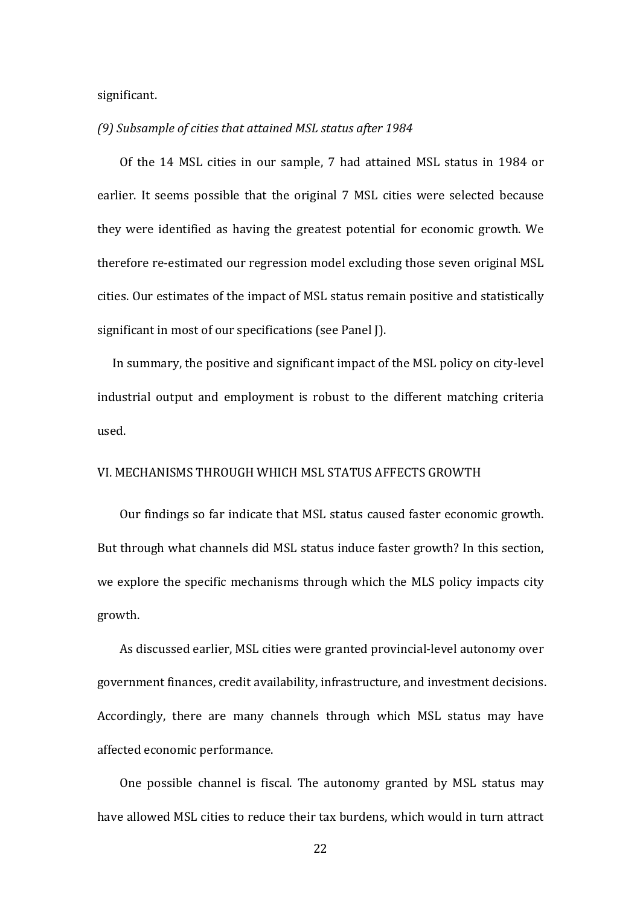significant.

#### (9) Subsample of cities that attained MSL status after 1984

Of the 14 MSL cities in our sample, 7 had attained MSL status in 1984 or earlier. It seems possible that the original 7 MSL cities were selected because they were identified as having the greatest potential for economic growth. We therefore re-estimated our regression model excluding those seven original MSL cities. Our estimates of the impact of MSL status remain positive and statistically significant in most of our specifications (see Panel J).

In summary, the positive and significant impact of the MSL policy on city-level industrial output and employment is robust to the different matching criteria used.

#### VI. MECHANISMS THROUGH WHICH MSL STATUS AFFECTS GROWTH

Our findings so far indicate that MSL status caused faster economic growth. But through what channels did MSL status induce faster growth? In this section, we explore the specific mechanisms through which the MLS policy impacts city growth. 

As discussed earlier, MSL cities were granted provincial-level autonomy over government finances, credit availability, infrastructure, and investment decisions. Accordingly, there are many channels through which MSL status may have affected economic performance.

One possible channel is fiscal. The autonomy granted by MSL status may have allowed MSL cities to reduce their tax burdens, which would in turn attract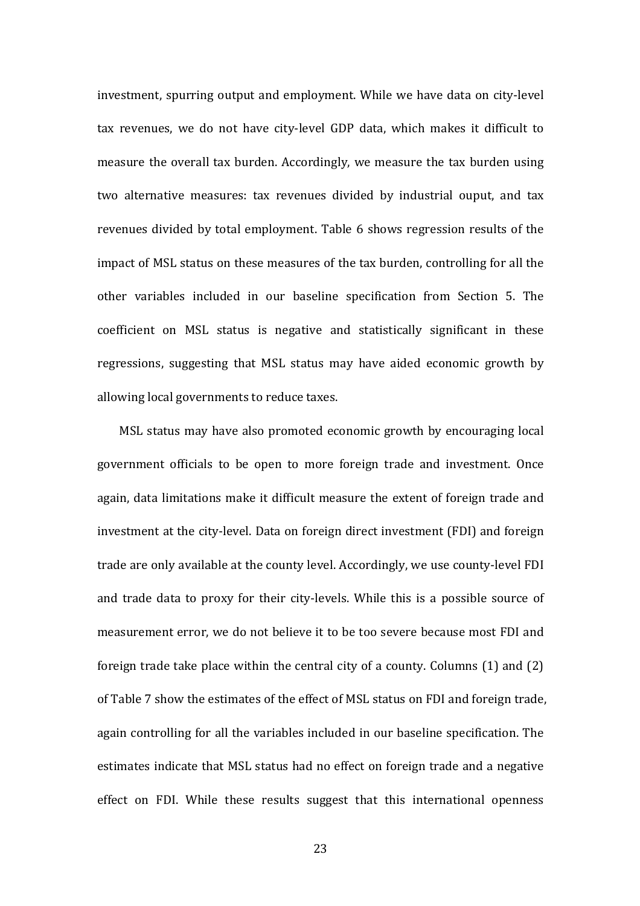investment, spurring output and employment. While we have data on city-level tax revenues, we do not have city-level GDP data, which makes it difficult to measure the overall tax burden. Accordingly, we measure the tax burden using two alternative measures: tax revenues divided by industrial ouput, and tax revenues divided by total employment. Table 6 shows regression results of the impact of MSL status on these measures of the tax burden, controlling for all the other variables included in our baseline specification from Section 5. The coefficient on MSL status is negative and statistically significant in these regressions, suggesting that MSL status may have aided economic growth by allowing local governments to reduce taxes.

MSL status may have also promoted economic growth by encouraging local government officials to be open to more foreign trade and investment. Once again, data limitations make it difficult measure the extent of foreign trade and investment at the city-level. Data on foreign direct investment (FDI) and foreign trade are only available at the county level. Accordingly, we use county-level FDI and trade data to proxy for their city-levels. While this is a possible source of measurement error, we do not believe it to be too severe because most FDI and foreign trade take place within the central city of a county. Columns  $(1)$  and  $(2)$ of Table 7 show the estimates of the effect of MSL status on FDI and foreign trade, again controlling for all the variables included in our baseline specification. The estimates indicate that MSL status had no effect on foreign trade and a negative effect on FDI. While these results suggest that this international openness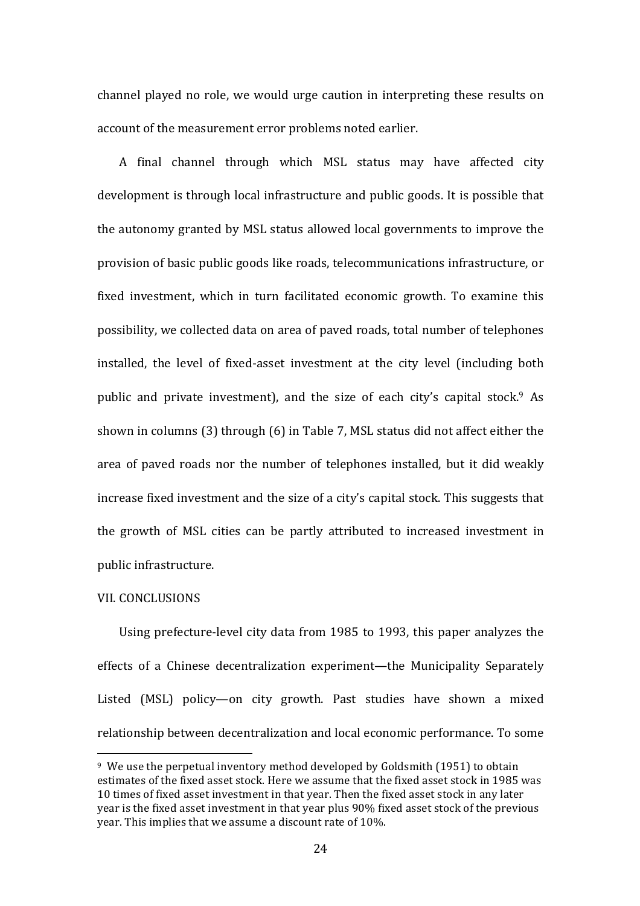channel played no role, we would urge caution in interpreting these results on account of the measurement error problems noted earlier.

A final channel through which MSL status may have affected city development is through local infrastructure and public goods. It is possible that the autonomy granted by MSL status allowed local governments to improve the provision of basic public goods like roads, telecommunications infrastructure, or fixed investment, which in turn facilitated economic growth. To examine this possibility, we collected data on area of paved roads, total number of telephones installed, the level of fixed-asset investment at the city level (including both public and private investment), and the size of each city's capital stock.<sup>9</sup> As shown in columns  $(3)$  through  $(6)$  in Table 7, MSL status did not affect either the area of paved roads nor the number of telephones installed, but it did weakly increase fixed investment and the size of a city's capital stock. This suggests that the growth of MSL cities can be partly attributed to increased investment in public infrastructure.

#### VIL CONCLUSIONS

 

Using prefecture-level city data from 1985 to 1993, this paper analyzes the effects of a Chinese decentralization experiment—the Municipality Separately Listed (MSL) policy—on city growth. Past studies have shown a mixed relationship between decentralization and local economic performance. To some

 $9\,$  We use the perpetual inventory method developed by Goldsmith (1951) to obtain estimates of the fixed asset stock. Here we assume that the fixed asset stock in 1985 was 10 times of fixed asset investment in that year. Then the fixed asset stock in any later year is the fixed asset investment in that year plus 90% fixed asset stock of the previous year. This implies that we assume a discount rate of 10%.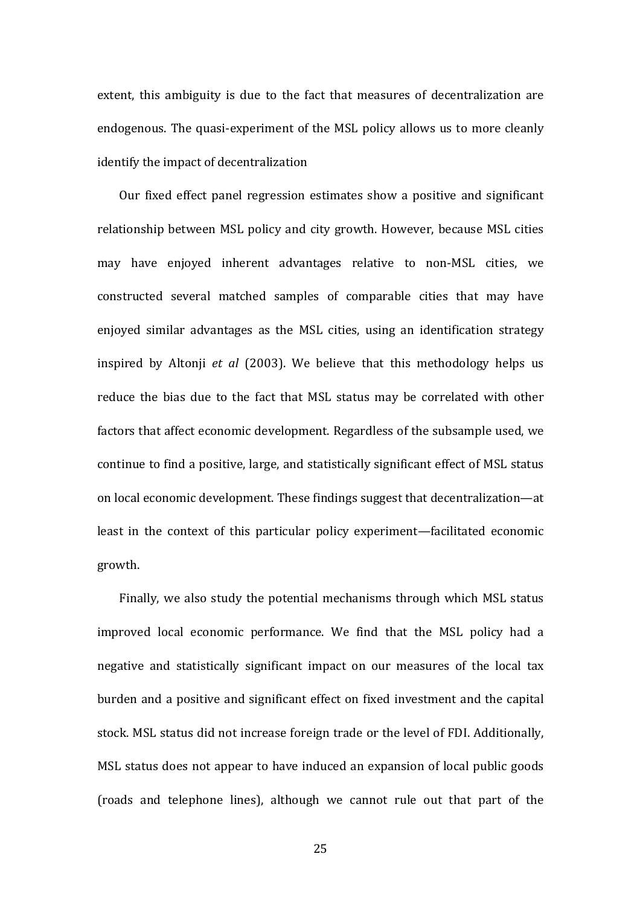extent, this ambiguity is due to the fact that measures of decentralization are endogenous. The quasi-experiment of the MSL policy allows us to more cleanly identify the impact of decentralization

Our fixed effect panel regression estimates show a positive and significant relationship between MSL policy and city growth. However, because MSL cities may have enjoyed inherent advantages relative to non-MSL cities, we constructed several matched samples of comparable cities that may have enjoyed similar advantages as the MSL cities, using an identification strategy inspired by Altonji *et al* (2003). We believe that this methodology helps us reduce the bias due to the fact that MSL status may be correlated with other factors that affect economic development. Regardless of the subsample used, we continue to find a positive, large, and statistically significant effect of MSL status on local economic development. These findings suggest that decentralization—at least in the context of this particular policy experiment—facilitated economic growth.

Finally, we also study the potential mechanisms through which MSL status improved local economic performance. We find that the MSL policy had a negative and statistically significant impact on our measures of the local tax burden and a positive and significant effect on fixed investment and the capital stock. MSL status did not increase foreign trade or the level of FDI. Additionally, MSL status does not appear to have induced an expansion of local public goods (roads and telephone lines), although we cannot rule out that part of the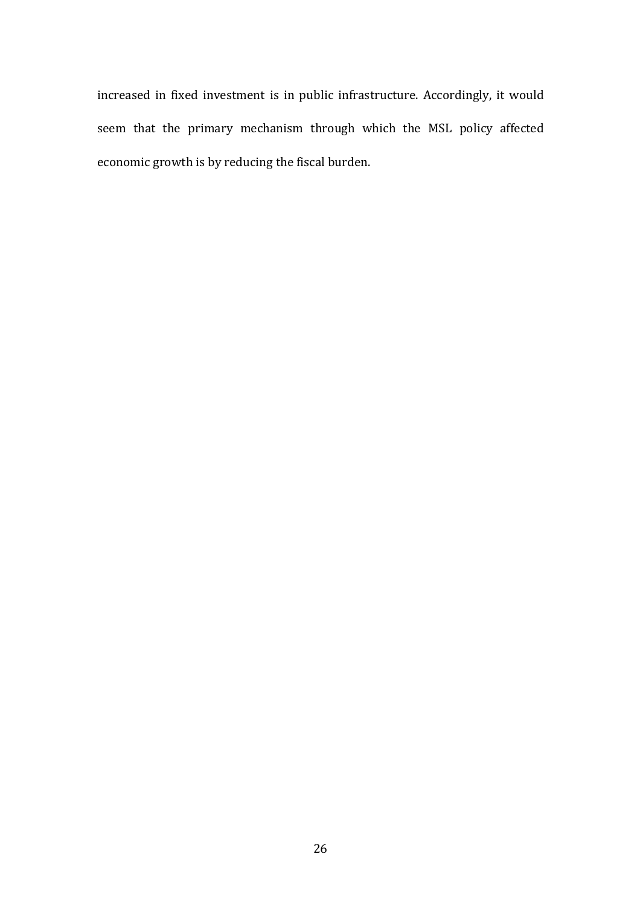increased in fixed investment is in public infrastructure. Accordingly, it would seem that the primary mechanism through which the MSL policy affected economic growth is by reducing the fiscal burden.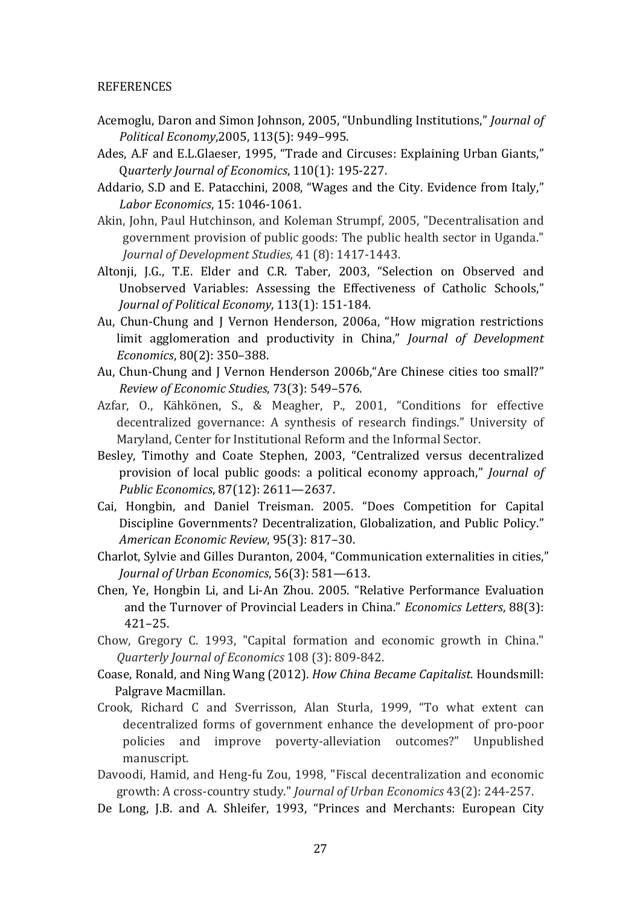#### REFERENCES

- Acemoglu, Daron and Simon Johnson, 2005, "Unbundling Institutions," Journal of *Political Economy*,2005, 113(5): 949–995.
- Ades, A.F and E.L.Glaeser, 1995, "Trade and Circuses: Explaining Urban Giants," Q*uarterly Journal of Economics*, 110(1): 195-227.
- Addario, S.D and E. Patacchini, 2008, "Wages and the City. Evidence from Italy," *Labor Economics*, 15: 1046-1061.
- Akin, John, Paul Hutchinson, and Koleman Strumpf, 2005, "Decentralisation and government provision of public goods: The public health sector in Uganda." *Journal of Development Studies,* 41 (8): 1417-1443.
- Altonji, J.G., T.E. Elder and C.R. Taber, 2003, "Selection on Observed and Unobserved Variables: Assessing the Effectiveness of Catholic Schools," *Journal of Political Economy*, 113(1): 151-184.
- Au, Chun-Chung and J Vernon Henderson, 2006a, "How migration restrictions limit agglomeration and productivity in China," *Journal of Development Economics*, 80(2): 350–388.
- Au, Chun-Chung and J Vernon Henderson 2006b, "Are Chinese cities too small?" *Review of Economic Studies*, 73(3): 549–576.
- Azfar, O., Kähkönen, S., & Meagher, P., 2001, "Conditions for effective decentralized governance: A synthesis of research findings." University of Maryland, Center for Institutional Reform and the Informal Sector.
- Besley, Timothy and Coate Stephen, 2003, "Centralized versus decentralized provision of local public goods: a political economy approach," *Journal of Public Economics*, 87(12): 2611—2637.
- Cai, Hongbin, and Daniel Treisman. 2005. "Does Competition for Capital Discipline Governments? Decentralization, Globalization, and Public Policy." *American Economic Review*, 95(3): 817–30.
- Charlot, Sylvie and Gilles Duranton, 2004, "Communication externalities in cities," *Journal of Urban Economics*, 56(3): 581-613.
- Chen, Ye, Hongbin Li, and Li-An Zhou. 2005. "Relative Performance Evaluation and the Turnover of Provincial Leaders in China." *Economics Letters*, 88(3): 421–25.
- Chow, Gregory C. 1993, "Capital formation and economic growth in China." *Quarterly Journal of Economics* 108 (3): 809-842.
- Coase, Ronald, and Ning Wang (2012). *How China Became Capitalist*. Houndsmill: Palgrave Macmillan.
- Crook, Richard C and Sverrisson, Alan Sturla, 1999, "To what extent can decentralized forms of government enhance the development of pro-poor policies and improve poverty-alleviation outcomes?" Unpublished manuscript.
- Davoodi, Hamid, and Heng-fu Zou, 1998, "Fiscal decentralization and economic growth: A cross-country study." *Journal of Urban Economics* 43(2): 244-257.
- De Long, J.B. and A. Shleifer, 1993, "Princes and Merchants: European City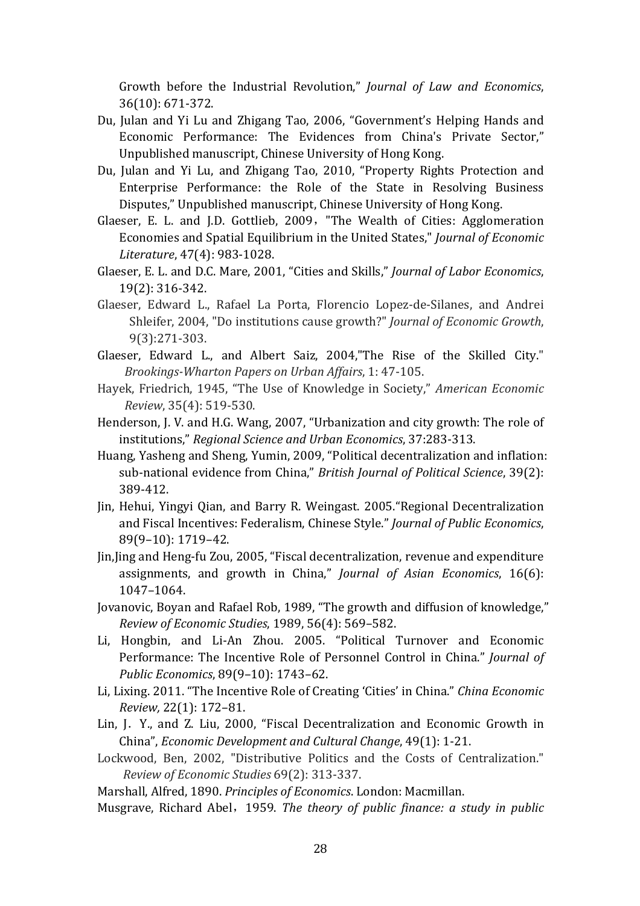Growth before the Industrial Revolution," *Journal of Law and Economics*, 36(10): 671-372.

- Du, Julan and Yi Lu and Zhigang Tao, 2006, "Government's Helping Hands and Economic Performance: The Evidences from China's Private Sector," Unpublished manuscript, Chinese University of Hong Kong.
- Du, Julan and Yi Lu, and Zhigang Tao, 2010, "Property Rights Protection and Enterprise Performance: the Role of the State in Resolving Business Disputes," Unpublished manuscript, Chinese University of Hong Kong.
- Glaeser, E. L. and J.D. Gottlieb, 2009, "The Wealth of Cities: Agglomeration Economies and Spatial Equilibrium in the United States," *Journal of Economic Literature*, 47(4): 983-1028.
- Glaeser, E. L. and D.C. Mare, 2001, "Cities and Skills," *Journal of Labor Economics*, 19(2): 316-342.
- Glaeser, Edward L., Rafael La Porta, Florencio Lopez-de-Silanes, and Andrei Shleifer, 2004, "Do institutions cause growth?" *Journal of Economic Growth*, 9(3):271-303.
- Glaeser, Edward L., and Albert Saiz, 2004,"The Rise of the Skilled City." *Brookings-Wharton Papers on Urban Affairs*, 1: 47-105.
- Hayek, Friedrich, 1945, "The Use of Knowledge in Society," *American Economic Review*, 35(4): 519-530.
- Henderson, J. V. and H.G. Wang, 2007, "Urbanization and city growth: The role of institutions," *Regional Science and Urban Economics*, 37:283-313.
- Huang, Yasheng and Sheng, Yumin, 2009, "Political decentralization and inflation: sub-national evidence from China," *British Journal of Political Science*, 39(2): 389-412.
- Jin, Hehui, Yingyi Qian, and Barry R. Weingast. 2005. Regional Decentralization and Fiscal Incentives: Federalism, Chinese Style." Journal of Public Economics, 89(9–10): 1719–42.
- Jin, Jing and Heng-fu Zou, 2005, "Fiscal decentralization, revenue and expenditure assignments, and growth in China," *Journal of Asian Economics*, 16(6): 1047–1064.
- Jovanovic, Boyan and Rafael Rob, 1989, "The growth and diffusion of knowledge," *Review of Economic Studies*, 1989, 56(4): 569–582.
- Li, Hongbin, and Li-An Zhou. 2005. "Political Turnover and Economic Performance: The Incentive Role of Personnel Control in China." *Journal of Public Economics*, 89(9-10): 1743-62.
- Li, Lixing. 2011. "The Incentive Role of Creating 'Cities' in China." *China Economic Review,* 22(1): 172–81.
- Lin, J. Y., and Z. Liu, 2000, "Fiscal Decentralization and Economic Growth in China", *Economic Development and Cultural Change*, 49(1): 1-21.
- Lockwood, Ben, 2002, "Distributive Politics and the Costs of Centralization." *Review of Economic Studies* 69(2): 313-337.

Marshall, Alfred, 1890. *Principles of Economics*. London: Macmillan.

Musgrave, Richard Abel, 1959. The theory of public finance: a study in public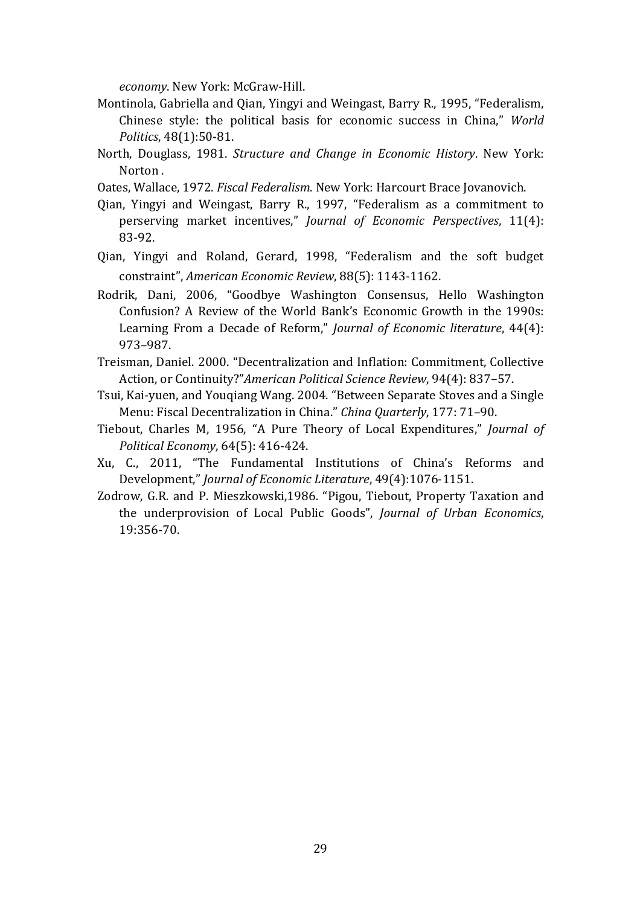*economy*. New York: McGraw-Hill.

- Montinola, Gabriella and Qian, Yingyi and Weingast, Barry R., 1995, "Federalism, Chinese style: the political basis for economic success in China," *World Politics*, 48(1):50-81.
- North, Douglass, 1981. *Structure and Change in Economic History*. New York: Norton.
- Oates, Wallace, 1972. *Fiscal Federalism*. New York: Harcourt Brace Jovanovich.
- Qian, Yingyi and Weingast, Barry R., 1997, "Federalism as a commitment to perserving market incentives," *Journal of Economic Perspectives*, 11(4): 83-92.
- Qian, Yingyi and Roland, Gerard, 1998, "Federalism and the soft budget constraint", American Economic Review, 88(5): 1143-1162.
- Rodrik, Dani, 2006, "Goodbye Washington Consensus, Hello Washington Confusion? A Review of the World Bank's Economic Growth in the 1990s: Learning From a Decade of Reform," *Journal of Economic literature*, 44(4): 973–987.
- Treisman, Daniel. 2000. "Decentralization and Inflation: Commitment, Collective Action, or Continuity?"American Political Science Review, 94(4): 837-57.
- Tsui, Kai-yuen, and Youqiang Wang. 2004. "Between Separate Stoves and a Single Menu: Fiscal Decentralization in China." *China Quarterly*, 177: 71-90.
- Tiebout, Charles M, 1956, "A Pure Theory of Local Expenditures," *Journal of Political Economy*, 64(5): 416-424.
- Xu, C., 2011, "The Fundamental Institutions of China's Reforms and Development," *Journal of Economic Literature*, 49(4):1076-1151.
- Zodrow, G.R. and P. Mieszkowski,1986. "Pigou, Tiebout, Property Taxation and the underprovision of Local Public Goods", *Journal of Urban Economics*, 19:356-70.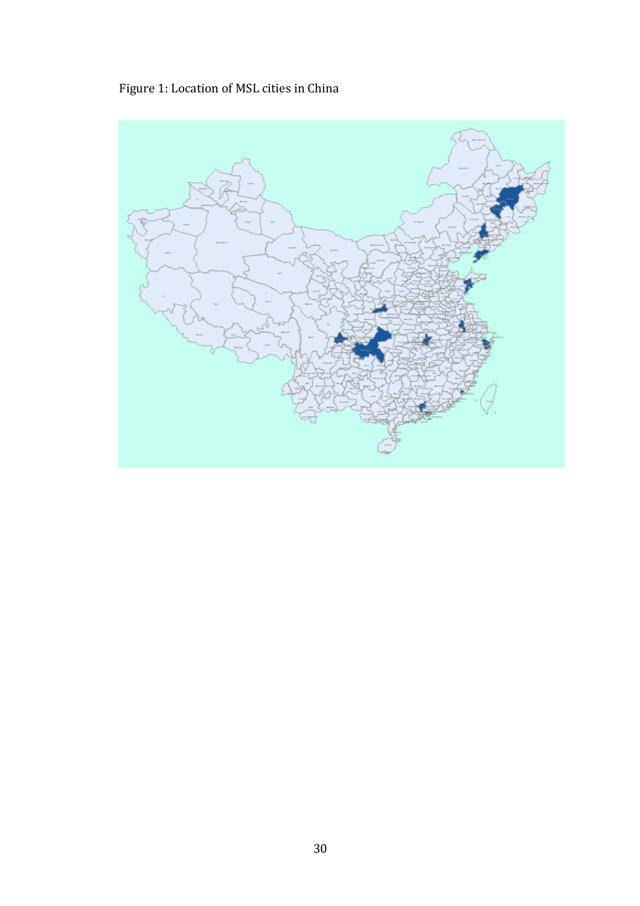Figure 1: Location of MSL cities in China

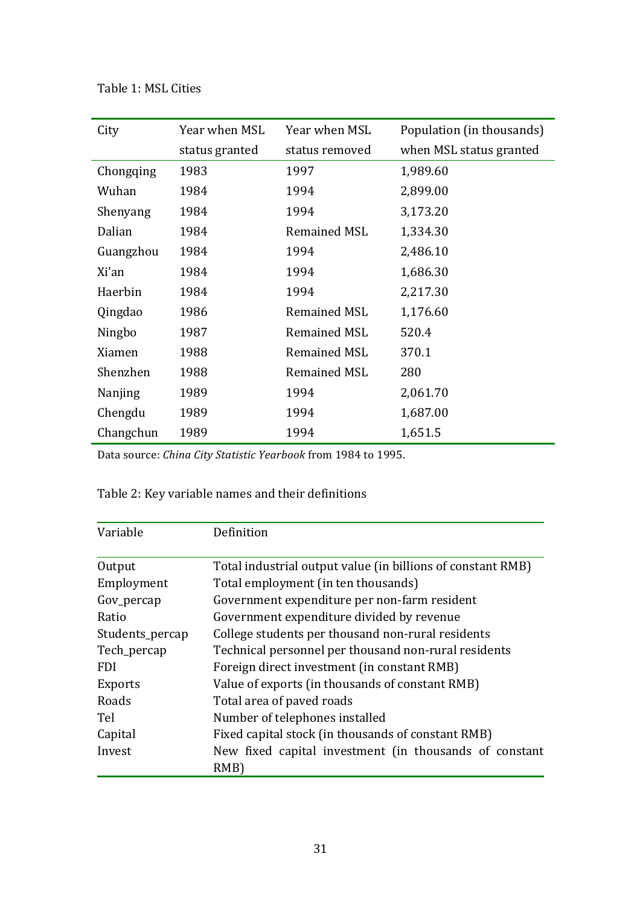# Table 1: MSL Cities

| City      | Year when MSL  | Year when MSL       | Population (in thousands) |
|-----------|----------------|---------------------|---------------------------|
|           | status granted | status removed      | when MSL status granted   |
| Chongqing | 1983           | 1997                | 1,989.60                  |
| Wuhan     | 1984           | 1994                | 2,899.00                  |
| Shenyang  | 1984           | 1994                | 3,173.20                  |
| Dalian    | 1984           | <b>Remained MSL</b> | 1,334.30                  |
| Guangzhou | 1984           | 1994                | 2,486.10                  |
| Xi'an     | 1984           | 1994                | 1,686.30                  |
| Haerbin   | 1984           | 1994                | 2,217.30                  |
| Qingdao   | 1986           | <b>Remained MSL</b> | 1,176.60                  |
| Ningbo    | 1987           | <b>Remained MSL</b> | 520.4                     |
| Xiamen    | 1988           | <b>Remained MSL</b> | 370.1                     |
| Shenzhen  | 1988           | <b>Remained MSL</b> | 280                       |
| Nanjing   | 1989           | 1994                | 2,061.70                  |
| Chengdu   | 1989           | 1994                | 1,687.00                  |
| Changchun | 1989           | 1994                | 1,651.5                   |

Data source: *China City Statistic Yearbook* from 1984 to 1995.

# Table 2: Key variable names and their definitions

| Variable        | Definition                                                  |
|-----------------|-------------------------------------------------------------|
| Output          | Total industrial output value (in billions of constant RMB) |
| Employment      | Total employment (in ten thousands)                         |
| Gov_percap      | Government expenditure per non-farm resident                |
| Ratio           | Government expenditure divided by revenue                   |
| Students_percap | College students per thousand non-rural residents           |
| Tech_percap     | Technical personnel per thousand non-rural residents        |
| <b>FDI</b>      | Foreign direct investment (in constant RMB)                 |
| <b>Exports</b>  | Value of exports (in thousands of constant RMB)             |
| Roads           | Total area of paved roads                                   |
| Tel             | Number of telephones installed                              |
| Capital         | Fixed capital stock (in thousands of constant RMB)          |
| Invest          | New fixed capital investment (in thousands of constant      |
|                 | RMB)                                                        |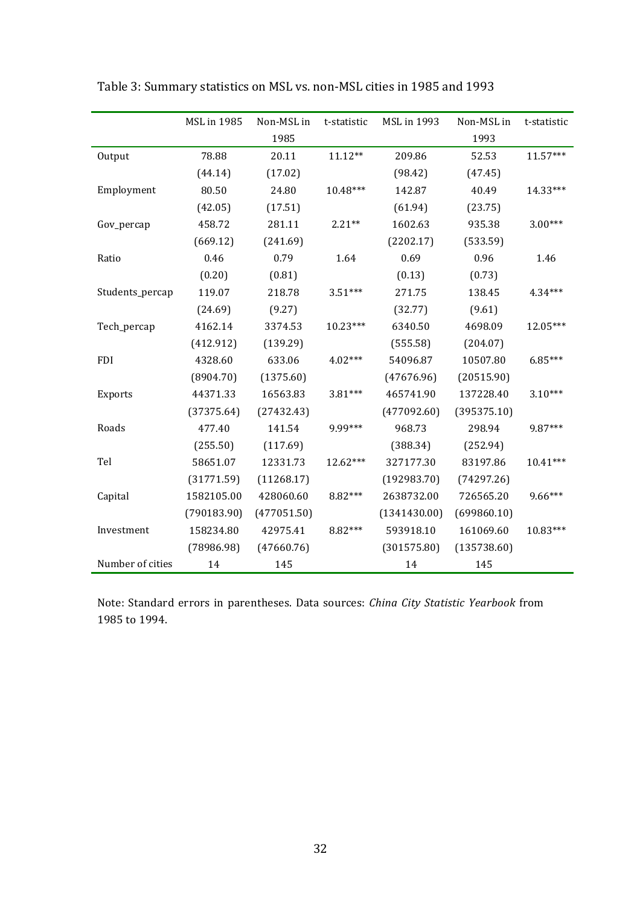|                  | <b>MSL</b> in 1985<br>Non-MSL in<br><b>MSL</b> in 1993<br>Non-MSL in<br>t-statistic<br>t-statistic |             |            |              |             |            |
|------------------|----------------------------------------------------------------------------------------------------|-------------|------------|--------------|-------------|------------|
|                  |                                                                                                    |             |            |              |             |            |
|                  |                                                                                                    | 1985        |            |              | 1993        |            |
| Output           | 78.88                                                                                              | 20.11       | $11.12**$  | 209.86       | 52.53       | $11.57***$ |
|                  | (44.14)                                                                                            | (17.02)     |            | (98.42)      | (47.45)     |            |
| Employment       | 80.50                                                                                              | 24.80       | 10.48***   | 142.87       | 40.49       | 14.33***   |
|                  | (42.05)                                                                                            | (17.51)     |            | (61.94)      | (23.75)     |            |
| Gov_percap       | 458.72                                                                                             | 281.11      | $2.21**$   | 1602.63      | 935.38      | $3.00***$  |
|                  | (669.12)                                                                                           | (241.69)    |            | (2202.17)    | (533.59)    |            |
| Ratio            | 0.46                                                                                               | 0.79        | 1.64       | 0.69         | 0.96        | 1.46       |
|                  | (0.20)                                                                                             | (0.81)      |            | (0.13)       | (0.73)      |            |
| Students_percap  | 119.07                                                                                             | 218.78      | $3.51***$  | 271.75       | 138.45      | 4.34***    |
|                  | (24.69)                                                                                            | (9.27)      |            | (32.77)      | (9.61)      |            |
| Tech_percap      | 4162.14                                                                                            | 3374.53     | $10.23***$ | 6340.50      | 4698.09     | 12.05***   |
|                  | (412.912)                                                                                          | (139.29)    |            | (555.58)     | (204.07)    |            |
| <b>FDI</b>       | 4328.60                                                                                            | 633.06      | $4.02***$  | 54096.87     | 10507.80    | $6.85***$  |
|                  | (8904.70)                                                                                          | (1375.60)   |            | (47676.96)   | (20515.90)  |            |
| Exports          | 44371.33                                                                                           | 16563.83    | 3.81***    | 465741.90    | 137228.40   | $3.10***$  |
|                  | (37375.64)                                                                                         | (27432.43)  |            | (477092.60)  | (395375.10) |            |
| Roads            | 477.40                                                                                             | 141.54      | 9.99***    | 968.73       | 298.94      | 9.87***    |
|                  | (255.50)                                                                                           | (117.69)    |            | (388.34)     | (252.94)    |            |
| Tel              | 58651.07                                                                                           | 12331.73    | $12.62***$ | 327177.30    | 83197.86    | $10.41***$ |
|                  | (31771.59)                                                                                         | (11268.17)  |            | (192983.70)  | (74297.26)  |            |
| Capital          | 1582105.00                                                                                         | 428060.60   | 8.82***    | 2638732.00   | 726565.20   | $9.66***$  |
|                  | (790183.90)                                                                                        | (477051.50) |            | (1341430.00) | (699860.10) |            |
| Investment       | 158234.80                                                                                          | 42975.41    | 8.82***    | 593918.10    | 161069.60   | 10.83***   |
|                  | (78986.98)                                                                                         | (47660.76)  |            | (301575.80)  | (135738.60) |            |
| Number of cities | 14                                                                                                 | 145         |            | 14           | 145         |            |

Table 3: Summary statistics on MSL vs. non-MSL cities in 1985 and 1993

Note: Standard errors in parentheses. Data sources: *China City Statistic Yearbook* from 1985 to 1994.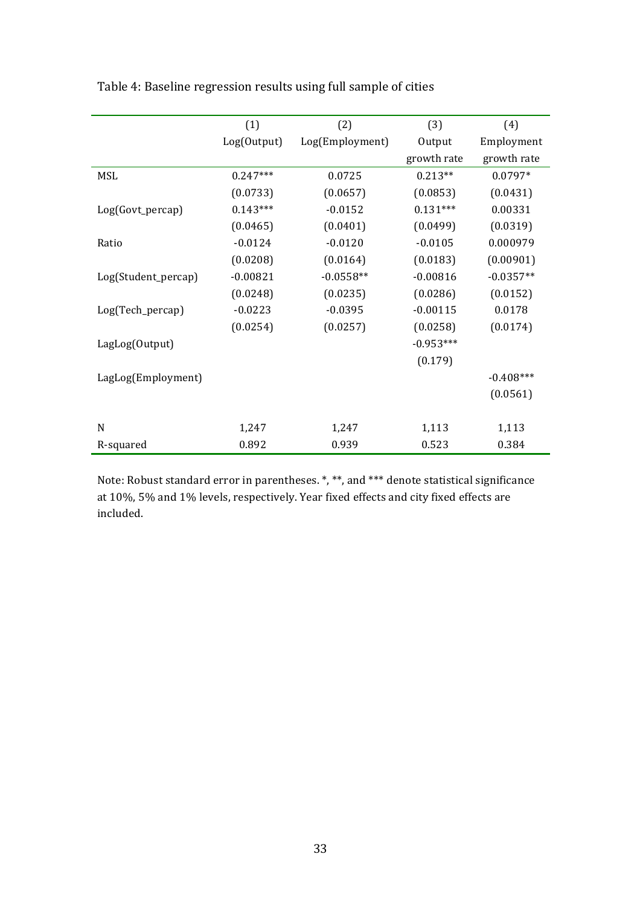|                     | (1)         | (2)             | (3)         | (4)         |
|---------------------|-------------|-----------------|-------------|-------------|
|                     | Log(Output) | Log(Employment) | Output      | Employment  |
|                     |             |                 | growth rate | growth rate |
| <b>MSL</b>          | $0.247***$  | 0.0725          | $0.213**$   | $0.0797*$   |
|                     | (0.0733)    | (0.0657)        | (0.0853)    | (0.0431)    |
| Log(Govt_percap)    | $0.143***$  | $-0.0152$       | $0.131***$  | 0.00331     |
|                     | (0.0465)    | (0.0401)        | (0.0499)    | (0.0319)    |
| Ratio               | $-0.0124$   | $-0.0120$       | $-0.0105$   | 0.000979    |
|                     | (0.0208)    | (0.0164)        | (0.0183)    | (0.00901)   |
| Log(Student_percap) | $-0.00821$  | $-0.0558**$     | $-0.00816$  | $-0.0357**$ |
|                     | (0.0248)    | (0.0235)        | (0.0286)    | (0.0152)    |
| Log(Tech_percap)    | $-0.0223$   | $-0.0395$       | $-0.00115$  | 0.0178      |
|                     | (0.0254)    | (0.0257)        | (0.0258)    | (0.0174)    |
| LagLog(Output)      |             |                 | $-0.953***$ |             |
|                     |             |                 | (0.179)     |             |
| LagLog(Employment)  |             |                 |             | $-0.408***$ |
|                     |             |                 |             | (0.0561)    |
|                     |             |                 |             |             |
| N                   | 1,247       | 1,247           | 1,113       | 1,113       |
| R-squared           | 0.892       | 0.939           | 0.523       | 0.384       |

Table 4: Baseline regression results using full sample of cities

Note: Robust standard error in parentheses. \*, \*\*, and \*\*\* denote statistical significance at 10%, 5% and 1% levels, respectively. Year fixed effects and city fixed effects are included.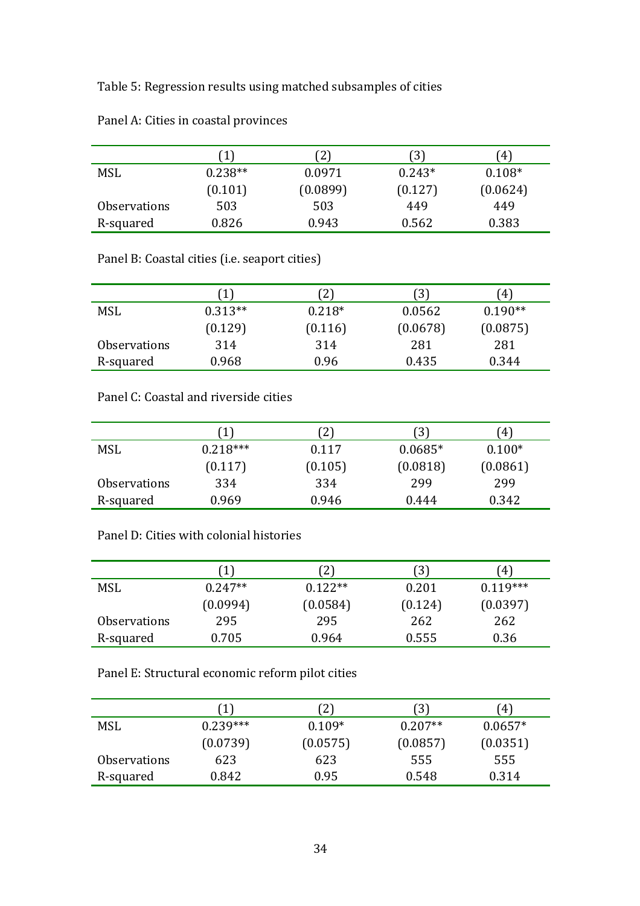Table 5: Regression results using matched subsamples of cities

|                     |           | $2^{\circ}$ | $3^{\circ}$ | $\left(4\right)$ |
|---------------------|-----------|-------------|-------------|------------------|
| MSL                 | $0.238**$ | 0.0971      | $0.243*$    | $0.108*$         |
|                     | (0.101)   | (0.0899)    | (0.127)     | (0.0624)         |
| <b>Observations</b> | 503       | 503         | 449         | 449              |
| R-squared           | 0.826     | 0.943       | 0.562       | 0.383            |

Panel A: Cities in coastal provinces

Panel B: Coastal cities (i.e. seaport cities)

|                     | 1         | $\mathbf{2}$ | [3]      | $\left(4\right)$ |
|---------------------|-----------|--------------|----------|------------------|
| <b>MSL</b>          | $0.313**$ | $0.218*$     | 0.0562   | $0.190**$        |
|                     | (0.129)   | (0.116)      | (0.0678) | (0.0875)         |
| <b>Observations</b> | 314       | 314          | 281      | 281              |
| R-squared           | 0.968     | 0.96         | 0.435    | 0.344            |

Panel C: Coastal and riverside cities

|                     |            | 2)      | 3         | $^{\prime}4)$ |
|---------------------|------------|---------|-----------|---------------|
| <b>MSL</b>          | $0.218***$ | 0.117   | $0.0685*$ | $0.100*$      |
|                     | (0.117)    | (0.105) | (0.0818)  | (0.0861)      |
| <b>Observations</b> | 334        | 334     | 299       | 299           |
| R-squared           | 0.969      | 0.946   | 0.444     | 0.342         |

# Panel D: Cities with colonial histories

|                     | $\mathbf{1}$ | $2^{\circ}$ | $\left(3\right)$ | [4]        |
|---------------------|--------------|-------------|------------------|------------|
| <b>MSL</b>          | $0.247**$    | $0.122**$   | 0.201            | $0.119***$ |
|                     | (0.0994)     | (0.0584)    | (0.124)          | (0.0397)   |
| <b>Observations</b> | 295          | 295         | 262              | 262        |
| R-squared           | 0.705        | 0.964       | 0.555            | 0.36       |

Panel E: Structural economic reform pilot cities

|                            | 1          | 2)       | [3]       | $\left(4\right)$ |
|----------------------------|------------|----------|-----------|------------------|
| <b>MSL</b>                 | $0.239***$ | $0.109*$ | $0.207**$ | $0.0657*$        |
|                            | (0.0739)   | (0.0575) | (0.0857)  | (0.0351)         |
| <i><b>Observations</b></i> | 623        | 623      | 555       | 555              |
| R-squared                  | 0.842      | 0.95     | 0.548     | 0.314            |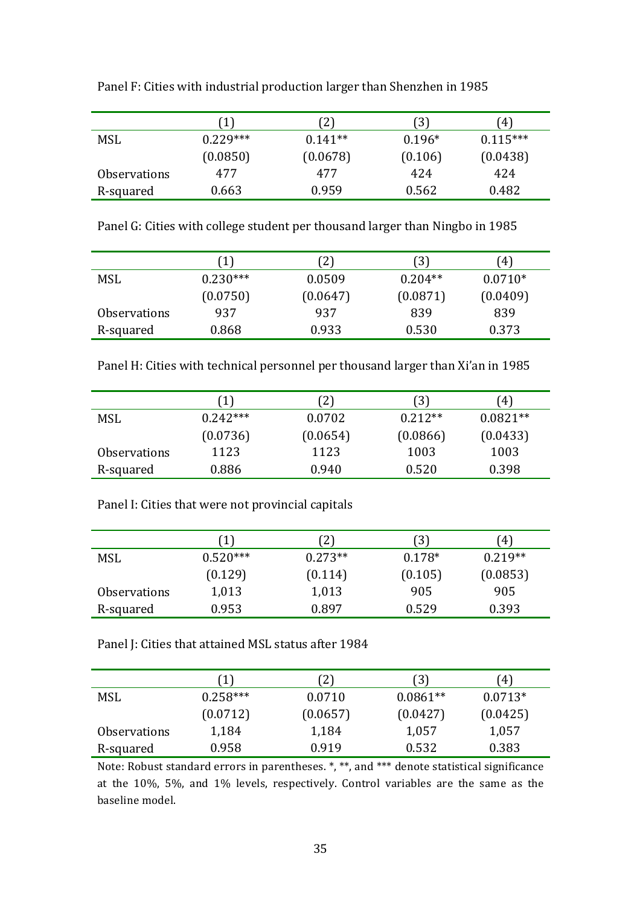|                     | $\left 1\right\rangle$ | $^{2}$    | [3]      | [4]        |
|---------------------|------------------------|-----------|----------|------------|
| MSL                 | $0.229***$             | $0.141**$ | $0.196*$ | $0.115***$ |
|                     | (0.0850)               | (0.0678)  | (0.106)  | (0.0438)   |
| <b>Observations</b> | 477                    | 477       | 424      | 424        |
| R-squared           | 0.663                  | 0.959     | 0.562    | 0.482      |

Panel F: Cities with industrial production larger than Shenzhen in 1985

Panel G: Cities with college student per thousand larger than Ningbo in 1985

|                     |            | $\left(2\right)$ | 3)        | (4)       |
|---------------------|------------|------------------|-----------|-----------|
| <b>MSL</b>          | $0.230***$ | 0.0509           | $0.204**$ | $0.0710*$ |
|                     | (0.0750)   | (0.0647)         | (0.0871)  | (0.0409)  |
| <b>Observations</b> | 937        | 937              | 839       | 839       |
| R-squared           | 0.868      | 0.933            | 0.530     | 0.373     |

Panel H: Cities with technical personnel per thousand larger than Xi'an in 1985

|                     |            | $2^{\cdot}$ | 3)        | 4'         |  |
|---------------------|------------|-------------|-----------|------------|--|
| <b>MSL</b>          | $0.242***$ | 0.0702      | $0.212**$ | $0.0821**$ |  |
|                     | (0.0736)   | (0.0654)    | (0.0866)  | (0.0433)   |  |
| <b>Observations</b> | 1123       | 1123        | 1003      | 1003       |  |
| R-squared           | 0.886      | 0.940       | 0.520     | 0.398      |  |

|                            |            | $^{2}$    | $\left(3\right)$ | $4^{\circ}$ |
|----------------------------|------------|-----------|------------------|-------------|
| MSL                        | $0.520***$ | $0.273**$ | $0.178*$         | $0.219**$   |
|                            | (0.129)    | (0.114)   | (0.105)          | (0.0853)    |
| <i><b>Observations</b></i> | 1,013      | 1,013     | 905              | 905         |
| R-squared                  | 0.953      | 0.897     | 0.529            | 0.393       |

Panel J: Cities that attained MSL status after 1984

|                     |            | (2)      | (3)        | 4)        |
|---------------------|------------|----------|------------|-----------|
| MSL                 | $0.258***$ | 0.0710   | $0.0861**$ | $0.0713*$ |
|                     | (0.0712)   | (0.0657) | (0.0427)   | (0.0425)  |
| <b>Observations</b> | 1,184      | 1,184    | 1,057      | 1,057     |
| R-squared           | 0.958      | 0.919    | 0.532      | 0.383     |

Note: Robust standard errors in parentheses. \*, \*\*, and \*\*\* denote statistical significance at the 10%, 5%, and 1% levels, respectively. Control variables are the same as the baseline model.